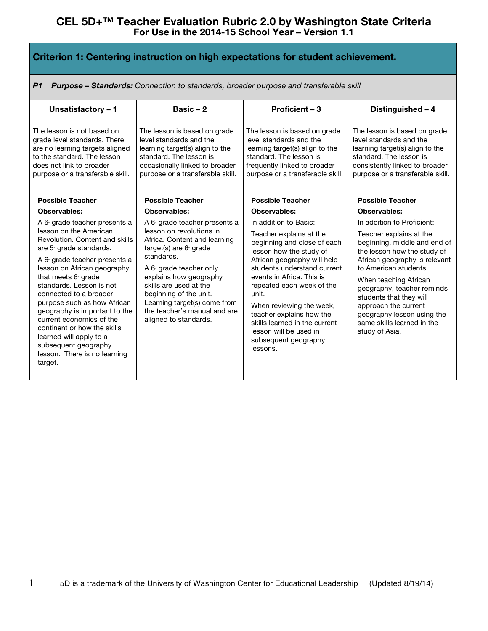| Criterion 1: Centering instruction on high expectations for student achievement.                                                                                                                                                                                                                                                                                                                                                                                                                                                  |                                                                                                                                                                                                                                                                                                                                                                               |                                                                                                                                                                                                                                                                                                                                                                                                                                               |                                                                                                                                                                                                                                                                                                                                                                                                                   |
|-----------------------------------------------------------------------------------------------------------------------------------------------------------------------------------------------------------------------------------------------------------------------------------------------------------------------------------------------------------------------------------------------------------------------------------------------------------------------------------------------------------------------------------|-------------------------------------------------------------------------------------------------------------------------------------------------------------------------------------------------------------------------------------------------------------------------------------------------------------------------------------------------------------------------------|-----------------------------------------------------------------------------------------------------------------------------------------------------------------------------------------------------------------------------------------------------------------------------------------------------------------------------------------------------------------------------------------------------------------------------------------------|-------------------------------------------------------------------------------------------------------------------------------------------------------------------------------------------------------------------------------------------------------------------------------------------------------------------------------------------------------------------------------------------------------------------|
| <b>Purpose - Standards:</b> Connection to standards, broader purpose and transferable skill<br>P1                                                                                                                                                                                                                                                                                                                                                                                                                                 |                                                                                                                                                                                                                                                                                                                                                                               |                                                                                                                                                                                                                                                                                                                                                                                                                                               |                                                                                                                                                                                                                                                                                                                                                                                                                   |
| Unsatisfactory - 1                                                                                                                                                                                                                                                                                                                                                                                                                                                                                                                | Basic $-2$                                                                                                                                                                                                                                                                                                                                                                    | Proficient - 3                                                                                                                                                                                                                                                                                                                                                                                                                                | Distinguished - 4                                                                                                                                                                                                                                                                                                                                                                                                 |
| The lesson is not based on<br>grade level standards. There<br>are no learning targets aligned<br>to the standard. The lesson<br>does not link to broader<br>purpose or a transferable skill.                                                                                                                                                                                                                                                                                                                                      | The lesson is based on grade<br>level standards and the<br>learning target(s) align to the<br>standard. The lesson is<br>occasionally linked to broader<br>purpose or a transferable skill.                                                                                                                                                                                   | The lesson is based on grade<br>level standards and the<br>learning target(s) align to the<br>standard. The lesson is<br>frequently linked to broader<br>purpose or a transferable skill.                                                                                                                                                                                                                                                     | The lesson is based on grade<br>level standards and the<br>learning target(s) align to the<br>standard. The lesson is<br>consistently linked to broader<br>purpose or a transferable skill.                                                                                                                                                                                                                       |
| <b>Possible Teacher</b><br>Observables:<br>A 6 grade teacher presents a<br>lesson on the American<br>Revolution, Content and skills<br>are 5 grade standards.<br>A 6 grade teacher presents a<br>lesson on African geography<br>that meets 6 grade<br>standards. Lesson is not<br>connected to a broader<br>purpose such as how African<br>geography is important to the<br>current economics of the<br>continent or how the skills<br>learned will apply to a<br>subsequent geography<br>lesson. There is no learning<br>target. | <b>Possible Teacher</b><br>Observables:<br>A 6 grade teacher presents a<br>lesson on revolutions in<br>Africa. Content and learning<br>target(s) are $6$ grade<br>standards.<br>A 6 grade teacher only<br>explains how geography<br>skills are used at the<br>beginning of the unit.<br>Learning target(s) come from<br>the teacher's manual and are<br>aligned to standards. | <b>Possible Teacher</b><br>Observables:<br>In addition to Basic:<br>Teacher explains at the<br>beginning and close of each<br>lesson how the study of<br>African geography will help<br>students understand current<br>events in Africa. This is<br>repeated each week of the<br>unit.<br>When reviewing the week,<br>teacher explains how the<br>skills learned in the current<br>lesson will be used in<br>subsequent geography<br>lessons. | <b>Possible Teacher</b><br>Observables:<br>In addition to Proficient:<br>Teacher explains at the<br>beginning, middle and end of<br>the lesson how the study of<br>African geography is relevant<br>to American students.<br>When teaching African<br>geography, teacher reminds<br>students that they will<br>approach the current<br>geography lesson using the<br>same skills learned in the<br>study of Asia. |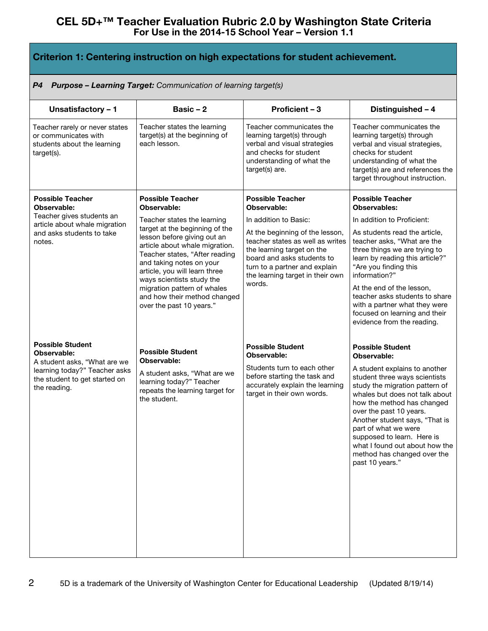| Criterion 1: Centering instruction on high expectations for student achievement. |
|----------------------------------------------------------------------------------|
|----------------------------------------------------------------------------------|

#### *P4 Purpose – Learning Target: Communication of learning target(s)*

| Unsatisfactory - 1                                                                                             | Basic $-2$                                                                                                                                                                                                                  | Proficient - 3                                                                                                                                                                                                 | Distinguished - 4                                                                                                                                                                                                                                                                                                                                                       |
|----------------------------------------------------------------------------------------------------------------|-----------------------------------------------------------------------------------------------------------------------------------------------------------------------------------------------------------------------------|----------------------------------------------------------------------------------------------------------------------------------------------------------------------------------------------------------------|-------------------------------------------------------------------------------------------------------------------------------------------------------------------------------------------------------------------------------------------------------------------------------------------------------------------------------------------------------------------------|
| Teacher rarely or never states<br>or communicates with<br>students about the learning<br>target(s).            | Teacher states the learning<br>target(s) at the beginning of<br>each lesson.                                                                                                                                                | Teacher communicates the<br>learning target(s) through<br>verbal and visual strategies<br>and checks for student<br>understanding of what the<br>target(s) are.                                                | Teacher communicates the<br>learning target(s) through<br>verbal and visual strategies,<br>checks for student<br>understanding of what the<br>target(s) are and references the<br>target throughout instruction.                                                                                                                                                        |
| <b>Possible Teacher</b><br>Observable:                                                                         | <b>Possible Teacher</b><br>Observable:                                                                                                                                                                                      | <b>Possible Teacher</b><br>Observable:                                                                                                                                                                         | <b>Possible Teacher</b><br>Observables:                                                                                                                                                                                                                                                                                                                                 |
| Teacher gives students an<br>article about whale migration                                                     | Teacher states the learning                                                                                                                                                                                                 | In addition to Basic:                                                                                                                                                                                          | In addition to Proficient:                                                                                                                                                                                                                                                                                                                                              |
| and asks students to take<br>notes.                                                                            | target at the beginning of the<br>lesson before giving out an<br>article about whale migration.<br>Teacher states, "After reading<br>and taking notes on your<br>article, you will learn three<br>ways scientists study the | At the beginning of the lesson,<br>teacher states as well as writes<br>the learning target on the<br>board and asks students to<br>turn to a partner and explain<br>the learning target in their own<br>words. | As students read the article,<br>teacher asks, "What are the<br>three things we are trying to<br>learn by reading this article?"<br>"Are you finding this<br>information?"                                                                                                                                                                                              |
|                                                                                                                | migration pattern of whales<br>and how their method changed<br>over the past 10 years."                                                                                                                                     |                                                                                                                                                                                                                | At the end of the lesson,<br>teacher asks students to share<br>with a partner what they were<br>focused on learning and their<br>evidence from the reading.                                                                                                                                                                                                             |
| <b>Possible Student</b><br>Observable:                                                                         | <b>Possible Student</b>                                                                                                                                                                                                     | <b>Possible Student</b><br>Observable:                                                                                                                                                                         | <b>Possible Student</b><br>Observable:                                                                                                                                                                                                                                                                                                                                  |
| A student asks, "What are we<br>learning today?" Teacher asks<br>the student to get started on<br>the reading. | Observable:<br>A student asks, "What are we<br>learning today?" Teacher<br>repeats the learning target for<br>the student.                                                                                                  | Students turn to each other<br>before starting the task and<br>accurately explain the learning<br>target in their own words.                                                                                   | A student explains to another<br>student three ways scientists<br>study the migration pattern of<br>whales but does not talk about<br>how the method has changed<br>over the past 10 years.<br>Another student says, "That is<br>part of what we were<br>supposed to learn. Here is<br>what I found out about how the<br>method has changed over the<br>past 10 years." |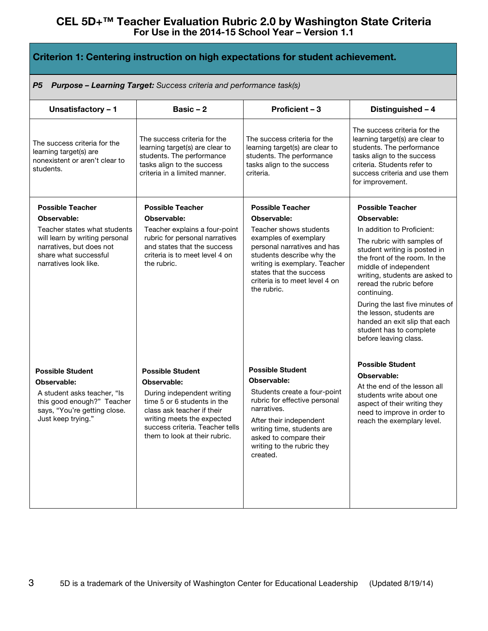| Criterion 1: Centering instruction on high expectations for student achievement.                                                                                                       |                                                                                                                                                                                                                                     |                                                                                                                                                                                                                                                                    |                                                                                                                                                                                                                                                                                                                                                                                                                               |
|----------------------------------------------------------------------------------------------------------------------------------------------------------------------------------------|-------------------------------------------------------------------------------------------------------------------------------------------------------------------------------------------------------------------------------------|--------------------------------------------------------------------------------------------------------------------------------------------------------------------------------------------------------------------------------------------------------------------|-------------------------------------------------------------------------------------------------------------------------------------------------------------------------------------------------------------------------------------------------------------------------------------------------------------------------------------------------------------------------------------------------------------------------------|
| <b>Purpose - Learning Target:</b> Success criteria and performance task(s)<br>P5                                                                                                       |                                                                                                                                                                                                                                     |                                                                                                                                                                                                                                                                    |                                                                                                                                                                                                                                                                                                                                                                                                                               |
| Unsatisfactory - 1                                                                                                                                                                     | Basic - 2                                                                                                                                                                                                                           | Proficient - 3                                                                                                                                                                                                                                                     | Distinguished - 4                                                                                                                                                                                                                                                                                                                                                                                                             |
| The success criteria for the<br>learning target(s) are<br>nonexistent or aren't clear to<br>students.                                                                                  | The success criteria for the<br>learning target(s) are clear to<br>students. The performance<br>tasks align to the success<br>criteria in a limited manner.                                                                         | The success criteria for the<br>learning target(s) are clear to<br>students. The performance<br>tasks align to the success<br>criteria.                                                                                                                            | The success criteria for the<br>learning target(s) are clear to<br>students. The performance<br>tasks align to the success<br>criteria. Students refer to<br>success criteria and use them<br>for improvement.                                                                                                                                                                                                                |
| <b>Possible Teacher</b><br>Observable:<br>Teacher states what students<br>will learn by writing personal<br>narratives, but does not<br>share what successful<br>narratives look like. | <b>Possible Teacher</b><br>Observable:<br>Teacher explains a four-point<br>rubric for personal narratives<br>and states that the success<br>criteria is to meet level 4 on<br>the rubric.                                           | <b>Possible Teacher</b><br>Observable:<br>Teacher shows students<br>examples of exemplary<br>personal narratives and has<br>students describe why the<br>writing is exemplary. Teacher<br>states that the success<br>criteria is to meet level 4 on<br>the rubric. | <b>Possible Teacher</b><br>Observable:<br>In addition to Proficient:<br>The rubric with samples of<br>student writing is posted in<br>the front of the room. In the<br>middle of independent<br>writing, students are asked to<br>reread the rubric before<br>continuing.<br>During the last five minutes of<br>the lesson, students are<br>handed an exit slip that each<br>student has to complete<br>before leaving class. |
| <b>Possible Student</b><br>Observable:<br>A student asks teacher, "Is<br>this good enough?" Teacher<br>says, "You're getting close.<br>Just keep trying."                              | <b>Possible Student</b><br>Observable:<br>During independent writing<br>time 5 or 6 students in the<br>class ask teacher if their<br>writing meets the expected<br>success criteria. Teacher tells<br>them to look at their rubric. | <b>Possible Student</b><br><b>Observable:</b><br>Students create a four-point<br>rubric for effective personal<br>narratives.<br>After their independent<br>writing time, students are<br>asked to compare their<br>writing to the rubric they<br>created.         | <b>Possible Student</b><br>Observable:<br>At the end of the lesson all<br>students write about one<br>aspect of their writing they<br>need to improve in order to<br>reach the exemplary level.                                                                                                                                                                                                                               |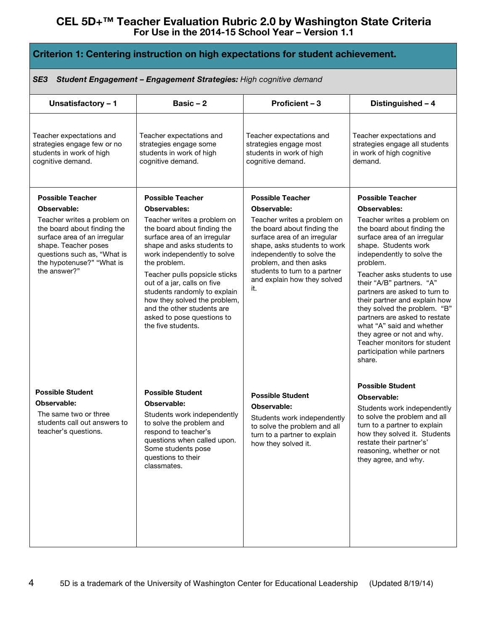| Criterion 1: Centering instruction on high expectations for student achievement.                                                                                                               |                                                                                                                                                                                                                                                                                                                                                                                           |                                                                                                                                                                                                                                                           |                                                                                                                                                                                                                                                                                                                                                                                                                                                                                                   |
|------------------------------------------------------------------------------------------------------------------------------------------------------------------------------------------------|-------------------------------------------------------------------------------------------------------------------------------------------------------------------------------------------------------------------------------------------------------------------------------------------------------------------------------------------------------------------------------------------|-----------------------------------------------------------------------------------------------------------------------------------------------------------------------------------------------------------------------------------------------------------|---------------------------------------------------------------------------------------------------------------------------------------------------------------------------------------------------------------------------------------------------------------------------------------------------------------------------------------------------------------------------------------------------------------------------------------------------------------------------------------------------|
| SE3<br>Student Engagement - Engagement Strategies: High cognitive demand                                                                                                                       |                                                                                                                                                                                                                                                                                                                                                                                           |                                                                                                                                                                                                                                                           |                                                                                                                                                                                                                                                                                                                                                                                                                                                                                                   |
| Unsatisfactory - 1                                                                                                                                                                             | Basic $-2$                                                                                                                                                                                                                                                                                                                                                                                | Proficient - 3                                                                                                                                                                                                                                            | Distinguished - 4                                                                                                                                                                                                                                                                                                                                                                                                                                                                                 |
| Teacher expectations and<br>strategies engage few or no<br>students in work of high<br>cognitive demand.                                                                                       | Teacher expectations and<br>strategies engage some<br>students in work of high<br>cognitive demand.                                                                                                                                                                                                                                                                                       | Teacher expectations and<br>strategies engage most<br>students in work of high<br>cognitive demand.                                                                                                                                                       | Teacher expectations and<br>strategies engage all students<br>in work of high cognitive<br>demand.                                                                                                                                                                                                                                                                                                                                                                                                |
| <b>Possible Teacher</b><br>Observable:                                                                                                                                                         | <b>Possible Teacher</b><br>Observables:                                                                                                                                                                                                                                                                                                                                                   | <b>Possible Teacher</b><br>Observable:                                                                                                                                                                                                                    | <b>Possible Teacher</b><br>Observables:                                                                                                                                                                                                                                                                                                                                                                                                                                                           |
| Teacher writes a problem on<br>the board about finding the<br>surface area of an irregular<br>shape. Teacher poses<br>questions such as, "What is<br>the hypotenuse?" "What is<br>the answer?" | Teacher writes a problem on<br>the board about finding the<br>surface area of an irregular<br>shape and asks students to<br>work independently to solve<br>the problem.<br>Teacher pulls popsicle sticks<br>out of a jar, calls on five<br>students randomly to explain<br>how they solved the problem,<br>and the other students are<br>asked to pose questions to<br>the five students. | Teacher writes a problem on<br>the board about finding the<br>surface area of an irregular<br>shape, asks students to work<br>independently to solve the<br>problem, and then asks<br>students to turn to a partner<br>and explain how they solved<br>it. | Teacher writes a problem on<br>the board about finding the<br>surface area of an irregular<br>shape. Students work<br>independently to solve the<br>problem.<br>Teacher asks students to use<br>their "A/B" partners. "A"<br>partners are asked to turn to<br>their partner and explain how<br>they solved the problem. "B"<br>partners are asked to restate<br>what "A" said and whether<br>they agree or not and why.<br>Teacher monitors for student<br>participation while partners<br>share. |
| <b>Possible Student</b>                                                                                                                                                                        | <b>Possible Student</b>                                                                                                                                                                                                                                                                                                                                                                   | <b>Possible Student</b>                                                                                                                                                                                                                                   | <b>Possible Student</b>                                                                                                                                                                                                                                                                                                                                                                                                                                                                           |
| Observable:                                                                                                                                                                                    | Observable:                                                                                                                                                                                                                                                                                                                                                                               | Observable:                                                                                                                                                                                                                                               | <b>Observable:</b><br>Students work independently                                                                                                                                                                                                                                                                                                                                                                                                                                                 |
| The same two or three<br>students call out answers to<br>teacher's questions.                                                                                                                  | Students work independently<br>to solve the problem and<br>respond to teacher's<br>questions when called upon.<br>Some students pose<br>questions to their<br>classmates.                                                                                                                                                                                                                 | Students work independently<br>to solve the problem and all<br>turn to a partner to explain<br>how they solved it.                                                                                                                                        | to solve the problem and all<br>turn to a partner to explain<br>how they solved it. Students<br>restate their partner's'<br>reasoning, whether or not<br>they agree, and why.                                                                                                                                                                                                                                                                                                                     |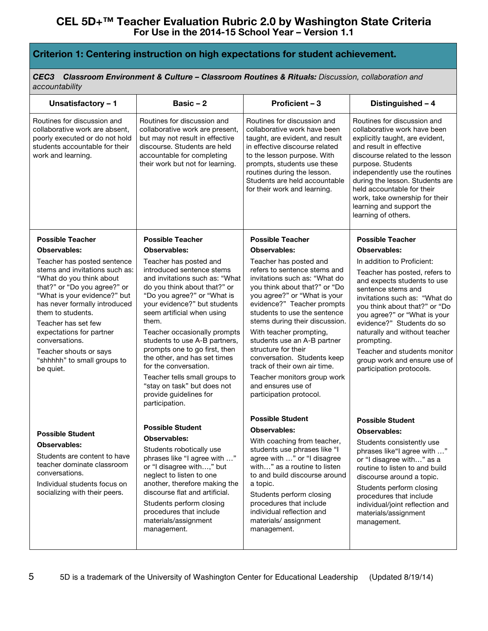### **Criterion 1: Centering instruction on high expectations for student achievement.**

*CEC3 Classroom Environment & Culture – Classroom Routines & Rituals: Discussion, collaboration and accountability*

| Unsatisfactory - 1                                                                                                                                                                                                                                                                                                                                         | Basic-2                                                                                                                                                                                                                                                                                                                                                                                                                                                                                            | Proficient - 3                                                                                                                                                                                                                                                                                                                                                                                                                                                                           | Distinguished - 4                                                                                                                                                                                                                                                                                                                                                                          |
|------------------------------------------------------------------------------------------------------------------------------------------------------------------------------------------------------------------------------------------------------------------------------------------------------------------------------------------------------------|----------------------------------------------------------------------------------------------------------------------------------------------------------------------------------------------------------------------------------------------------------------------------------------------------------------------------------------------------------------------------------------------------------------------------------------------------------------------------------------------------|------------------------------------------------------------------------------------------------------------------------------------------------------------------------------------------------------------------------------------------------------------------------------------------------------------------------------------------------------------------------------------------------------------------------------------------------------------------------------------------|--------------------------------------------------------------------------------------------------------------------------------------------------------------------------------------------------------------------------------------------------------------------------------------------------------------------------------------------------------------------------------------------|
| Routines for discussion and<br>collaborative work are absent,<br>poorly executed or do not hold<br>students accountable for their<br>work and learning.                                                                                                                                                                                                    | Routines for discussion and<br>collaborative work are present,<br>but may not result in effective<br>discourse. Students are held<br>accountable for completing<br>their work but not for learning.                                                                                                                                                                                                                                                                                                | Routines for discussion and<br>collaborative work have been<br>taught, are evident, and result<br>in effective discourse related<br>to the lesson purpose. With<br>prompts, students use these<br>routines during the lesson.<br>Students are held accountable<br>for their work and learning.                                                                                                                                                                                           | Routines for discussion and<br>collaborative work have been<br>explicitly taught, are evident,<br>and result in effective<br>discourse related to the lesson<br>purpose. Students<br>independently use the routines<br>during the lesson. Students are<br>held accountable for their<br>work, take ownership for their<br>learning and support the<br>learning of others.                  |
| <b>Possible Teacher</b>                                                                                                                                                                                                                                                                                                                                    | <b>Possible Teacher</b>                                                                                                                                                                                                                                                                                                                                                                                                                                                                            | <b>Possible Teacher</b>                                                                                                                                                                                                                                                                                                                                                                                                                                                                  | <b>Possible Teacher</b>                                                                                                                                                                                                                                                                                                                                                                    |
| <b>Observables:</b>                                                                                                                                                                                                                                                                                                                                        | <b>Observables:</b>                                                                                                                                                                                                                                                                                                                                                                                                                                                                                | Observables:                                                                                                                                                                                                                                                                                                                                                                                                                                                                             | Observables:                                                                                                                                                                                                                                                                                                                                                                               |
| Teacher has posted sentence<br>stems and invitations such as:<br>"What do you think about<br>that?" or "Do you agree?" or<br>"What is your evidence?" but<br>has never formally introduced<br>them to students.<br>Teacher has set few<br>expectations for partner<br>conversations.<br>Teacher shouts or says<br>"shhhhh" to small groups to<br>be quiet. | Teacher has posted and<br>introduced sentence stems<br>and invitations such as: "What<br>do you think about that?" or<br>"Do you agree?" or "What is<br>your evidence?" but students<br>seem artificial when using<br>them.<br>Teacher occasionally prompts<br>students to use A-B partners,<br>prompts one to go first, then<br>the other, and has set times<br>for the conversation.<br>Teacher tells small groups to<br>"stay on task" but does not<br>provide guidelines for<br>participation. | Teacher has posted and<br>refers to sentence stems and<br>invitations such as: "What do<br>you think about that?" or "Do<br>you agree?" or "What is your<br>evidence?" Teacher prompts<br>students to use the sentence<br>stems during their discussion.<br>With teacher prompting,<br>students use an A-B partner<br>structure for their<br>conversation. Students keep<br>track of their own air time.<br>Teacher monitors group work<br>and ensures use of<br>participation protocol. | In addition to Proficient:<br>Teacher has posted, refers to<br>and expects students to use<br>sentence stems and<br>invitations such as: "What do<br>you think about that?" or "Do<br>you agree?" or "What is your<br>evidence?" Students do so<br>naturally and without teacher<br>prompting.<br>Teacher and students monitor<br>group work and ensure use of<br>participation protocols. |
|                                                                                                                                                                                                                                                                                                                                                            |                                                                                                                                                                                                                                                                                                                                                                                                                                                                                                    | <b>Possible Student</b>                                                                                                                                                                                                                                                                                                                                                                                                                                                                  | <b>Possible Student</b>                                                                                                                                                                                                                                                                                                                                                                    |
| <b>Possible Student</b>                                                                                                                                                                                                                                                                                                                                    | <b>Possible Student</b><br><b>Observables:</b>                                                                                                                                                                                                                                                                                                                                                                                                                                                     | <b>Observables:</b>                                                                                                                                                                                                                                                                                                                                                                                                                                                                      | <b>Observables:</b>                                                                                                                                                                                                                                                                                                                                                                        |
| <b>Observables:</b><br>Students are content to have<br>teacher dominate classroom<br>conversations.<br>Individual students focus on<br>socializing with their peers.                                                                                                                                                                                       | Students robotically use<br>phrases like "I agree with "<br>or "I disagree with," but<br>neglect to listen to one<br>another, therefore making the<br>discourse flat and artificial.<br>Students perform closing<br>procedures that include<br>materials/assignment<br>management.                                                                                                                                                                                                                 | With coaching from teacher,<br>students use phrases like "I<br>agree with " or "I disagree<br>with" as a routine to listen<br>to and build discourse around<br>a topic.<br>Students perform closing<br>procedures that include<br>individual reflection and<br>materials/assignment<br>management.                                                                                                                                                                                       | Students consistently use<br>phrases like"I agree with "<br>or "I disagree with" as a<br>routine to listen to and build<br>discourse around a topic.<br>Students perform closing<br>procedures that include<br>individual/joint reflection and<br>materials/assignment<br>management.                                                                                                      |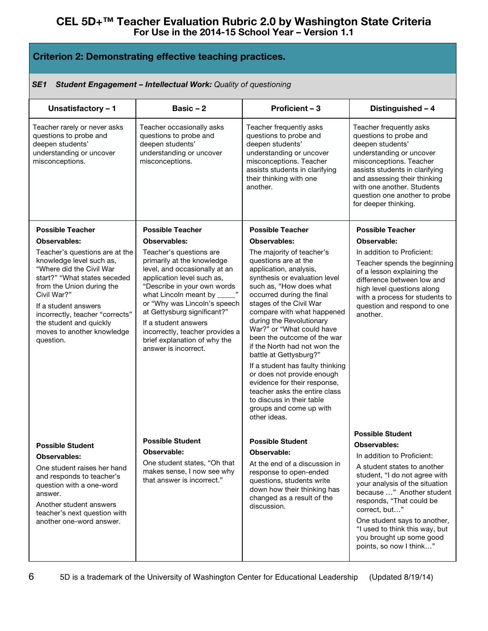## **Criterion 2: Demonstrating effective teaching practices.**

#### *SE1 Student Engagement – Intellectual Work: Quality of questioning*

| Unsatisfactory - 1                                                                                                                                                                                                                                                                                  | Basic $-2$                                                                                                                                                                                                                                                                                                                                                            | Proficient - 3                                                                                                                                                                                                                                                                                                                                                                                                                                                                                                                                                                             | Distinguished - 4                                                                                                                                                                                                                                                                                                                                                          |
|-----------------------------------------------------------------------------------------------------------------------------------------------------------------------------------------------------------------------------------------------------------------------------------------------------|-----------------------------------------------------------------------------------------------------------------------------------------------------------------------------------------------------------------------------------------------------------------------------------------------------------------------------------------------------------------------|--------------------------------------------------------------------------------------------------------------------------------------------------------------------------------------------------------------------------------------------------------------------------------------------------------------------------------------------------------------------------------------------------------------------------------------------------------------------------------------------------------------------------------------------------------------------------------------------|----------------------------------------------------------------------------------------------------------------------------------------------------------------------------------------------------------------------------------------------------------------------------------------------------------------------------------------------------------------------------|
| Teacher rarely or never asks<br>questions to probe and<br>deepen students'<br>understanding or uncover<br>misconceptions.                                                                                                                                                                           | Teacher occasionally asks<br>questions to probe and<br>deepen students'<br>understanding or uncover<br>misconceptions.                                                                                                                                                                                                                                                | Teacher frequently asks<br>questions to probe and<br>deepen students'<br>understanding or uncover<br>misconceptions. Teacher<br>assists students in clarifying<br>their thinking with one<br>another.                                                                                                                                                                                                                                                                                                                                                                                      | Teacher frequently asks<br>questions to probe and<br>deepen students'<br>understanding or uncover<br>misconceptions. Teacher<br>assists students in clarifying<br>and assessing their thinking<br>with one another. Students<br>question one another to probe<br>for deeper thinking.                                                                                      |
| <b>Possible Teacher</b>                                                                                                                                                                                                                                                                             | <b>Possible Teacher</b>                                                                                                                                                                                                                                                                                                                                               | <b>Possible Teacher</b>                                                                                                                                                                                                                                                                                                                                                                                                                                                                                                                                                                    | <b>Possible Teacher</b>                                                                                                                                                                                                                                                                                                                                                    |
| <b>Observables:</b>                                                                                                                                                                                                                                                                                 | Observables:                                                                                                                                                                                                                                                                                                                                                          | <b>Observables:</b>                                                                                                                                                                                                                                                                                                                                                                                                                                                                                                                                                                        | Observable:                                                                                                                                                                                                                                                                                                                                                                |
| Teacher's questions are at the<br>knowledge level such as,<br>"Where did the Civil War<br>start?" "What states seceded<br>from the Union during the<br>Civil War?"<br>If a student answers<br>incorrectly, teacher "corrects"<br>the student and quickly<br>moves to another knowledge<br>question. | Teacher's questions are<br>primarily at the knowledge<br>level, and occasionally at an<br>application level such as,<br>"Describe in your own words<br>what Lincoln meant by _____"<br>or "Why was Lincoln's speech<br>at Gettysburg significant?"<br>If a student answers<br>incorrectly, teacher provides a<br>brief explanation of why the<br>answer is incorrect. | The majority of teacher's<br>questions are at the<br>application, analysis,<br>synthesis or evaluation level<br>such as, "How does what<br>occurred during the final<br>stages of the Civil War<br>compare with what happened<br>during the Revolutionary<br>War?" or "What could have<br>been the outcome of the war<br>if the North had not won the<br>battle at Gettysburg?"<br>If a student has faulty thinking<br>or does not provide enough<br>evidence for their response,<br>teacher asks the entire class<br>to discuss in their table<br>groups and come up with<br>other ideas. | In addition to Proficient:<br>Teacher spends the beginning<br>of a lesson explaining the<br>difference between low and<br>high level questions along<br>with a process for students to<br>question and respond to one<br>another.                                                                                                                                          |
| <b>Possible Student</b><br>Observables:<br>One student raises her hand<br>and responds to teacher's<br>question with a one-word<br>answer.<br>Another student answers<br>teacher's next question with<br>another one-word answer.                                                                   | <b>Possible Student</b><br>Observable:<br>One student states, "Oh that<br>makes sense, I now see why<br>that answer is incorrect."                                                                                                                                                                                                                                    | <b>Possible Student</b><br>Observable:<br>At the end of a discussion in<br>response to open-ended<br>questions, students write<br>down how their thinking has<br>changed as a result of the<br>discussion.                                                                                                                                                                                                                                                                                                                                                                                 | <b>Possible Student</b><br>Observables:<br>In addition to Proficient:<br>A student states to another<br>student, "I do not agree with<br>your analysis of the situation<br>because " Another student<br>responds, "That could be<br>correct, but"<br>One student says to another,<br>"I used to think this way, but<br>you brought up some good<br>points, so now I think" |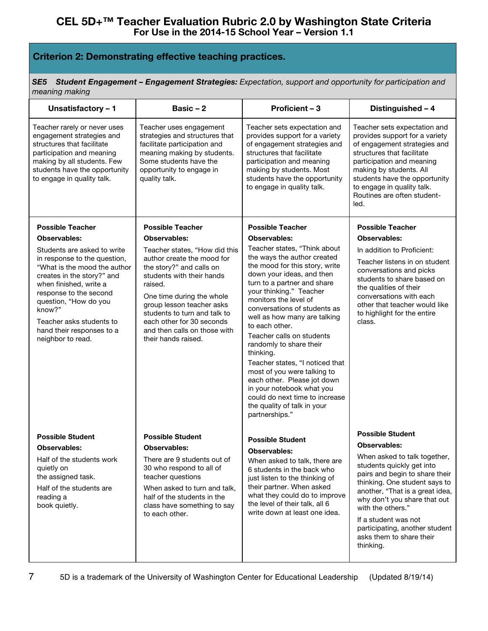# **Criterion 2: Demonstrating effective teaching practices.**

*SE5 Student Engagement – Engagement Strategies: Expectation, support and opportunity for participation and meaning making*

| Unsatisfactory - 1                                                                                                                                                                                                                                                                                                                        | Basic $-2$                                                                                                                                                                                                                                                                                                                                                      | Proficient - 3                                                                                                                                                                                                                                                                                                                                                                                                                                                                                                                                                                                                                          | Distinguished - 4                                                                                                                                                                                                                                                                                                                                                         |
|-------------------------------------------------------------------------------------------------------------------------------------------------------------------------------------------------------------------------------------------------------------------------------------------------------------------------------------------|-----------------------------------------------------------------------------------------------------------------------------------------------------------------------------------------------------------------------------------------------------------------------------------------------------------------------------------------------------------------|-----------------------------------------------------------------------------------------------------------------------------------------------------------------------------------------------------------------------------------------------------------------------------------------------------------------------------------------------------------------------------------------------------------------------------------------------------------------------------------------------------------------------------------------------------------------------------------------------------------------------------------------|---------------------------------------------------------------------------------------------------------------------------------------------------------------------------------------------------------------------------------------------------------------------------------------------------------------------------------------------------------------------------|
| Teacher rarely or never uses<br>engagement strategies and<br>structures that facilitate<br>participation and meaning<br>making by all students. Few<br>students have the opportunity<br>to engage in quality talk.                                                                                                                        | Teacher uses engagement<br>strategies and structures that<br>facilitate participation and<br>meaning making by students.<br>Some students have the<br>opportunity to engage in<br>quality talk.                                                                                                                                                                 | Teacher sets expectation and<br>provides support for a variety<br>of engagement strategies and<br>structures that facilitate<br>participation and meaning<br>making by students. Most<br>students have the opportunity<br>to engage in quality talk.                                                                                                                                                                                                                                                                                                                                                                                    | Teacher sets expectation and<br>provides support for a variety<br>of engagement strategies and<br>structures that facilitate<br>participation and meaning<br>making by students. All<br>students have the opportunity<br>to engage in quality talk.<br>Routines are often student-<br>led.                                                                                |
| <b>Possible Teacher</b><br>Observables:<br>Students are asked to write<br>in response to the question,<br>"What is the mood the author<br>creates in the story?" and<br>when finished, write a<br>response to the second<br>question, "How do you<br>know?"<br>Teacher asks students to<br>hand their responses to a<br>neighbor to read. | <b>Possible Teacher</b><br><b>Observables:</b><br>Teacher states, "How did this<br>author create the mood for<br>the story?" and calls on<br>students with their hands<br>raised.<br>One time during the whole<br>group lesson teacher asks<br>students to turn and talk to<br>each other for 30 seconds<br>and then calls on those with<br>their hands raised. | <b>Possible Teacher</b><br><b>Observables:</b><br>Teacher states, "Think about<br>the ways the author created<br>the mood for this story, write<br>down your ideas, and then<br>turn to a partner and share<br>your thinking." Teacher<br>monitors the level of<br>conversations of students as<br>well as how many are talking<br>to each other.<br>Teacher calls on students<br>randomly to share their<br>thinking.<br>Teacher states, "I noticed that<br>most of you were talking to<br>each other. Please jot down<br>in your notebook what you<br>could do next time to increase<br>the quality of talk in your<br>partnerships." | <b>Possible Teacher</b><br><b>Observables:</b><br>In addition to Proficient:<br>Teacher listens in on student<br>conversations and picks<br>students to share based on<br>the qualities of their<br>conversations with each<br>other that teacher would like<br>to highlight for the entire<br>class.                                                                     |
| <b>Possible Student</b><br><b>Observables:</b><br>Half of the students work<br>quietly on<br>the assigned task.<br>Half of the students are<br>reading a<br>book quietly.                                                                                                                                                                 | <b>Possible Student</b><br><b>Observables:</b><br>There are 9 students out of<br>30 who respond to all of<br>teacher questions<br>When asked to turn and talk,<br>half of the students in the<br>class have something to say<br>to each other.                                                                                                                  | <b>Possible Student</b><br><b>Observables:</b><br>When asked to talk, there are<br>6 students in the back who<br>just listen to the thinking of<br>their partner. When asked<br>what they could do to improve<br>the level of their talk, all 6<br>write down at least one idea.                                                                                                                                                                                                                                                                                                                                                        | <b>Possible Student</b><br><b>Observables:</b><br>When asked to talk together,<br>students quickly get into<br>pairs and begin to share their<br>thinking. One student says to<br>another, "That is a great idea,<br>why don't you share that out<br>with the others."<br>If a student was not<br>participating, another student<br>asks them to share their<br>thinking. |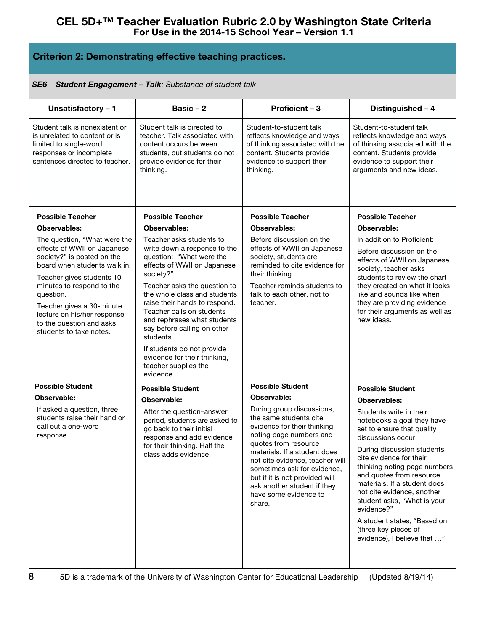## **Criterion 2: Demonstrating effective teaching practices.**

#### *SE6 Student Engagement – Talk: Substance of student talk*

| Unsatisfactory - 1                                                                                                                                     | Basic $-2$                                                                                                                                                         | Proficient - 3                                                                                                                                                                                     | Distinguished - 4                                                                                                                                                                                                            |
|--------------------------------------------------------------------------------------------------------------------------------------------------------|--------------------------------------------------------------------------------------------------------------------------------------------------------------------|----------------------------------------------------------------------------------------------------------------------------------------------------------------------------------------------------|------------------------------------------------------------------------------------------------------------------------------------------------------------------------------------------------------------------------------|
| Student talk is nonexistent or<br>is unrelated to content or is<br>limited to single-word<br>responses or incomplete<br>sentences directed to teacher. | Student talk is directed to<br>teacher. Talk associated with<br>content occurs between<br>students, but students do not<br>provide evidence for their<br>thinking. | Student-to-student talk<br>reflects knowledge and ways<br>of thinking associated with the<br>content. Students provide<br>evidence to support their<br>thinking.                                   | Student-to-student talk<br>reflects knowledge and ways<br>of thinking associated with the<br>content. Students provide<br>evidence to support their<br>arguments and new ideas.                                              |
| <b>Possible Teacher</b>                                                                                                                                | <b>Possible Teacher</b>                                                                                                                                            | <b>Possible Teacher</b>                                                                                                                                                                            | <b>Possible Teacher</b>                                                                                                                                                                                                      |
| Observables:                                                                                                                                           | Observables:                                                                                                                                                       | Observables:                                                                                                                                                                                       | Observable:                                                                                                                                                                                                                  |
| The question, "What were the                                                                                                                           | Teacher asks students to                                                                                                                                           | Before discussion on the                                                                                                                                                                           | In addition to Proficient:                                                                                                                                                                                                   |
| effects of WWII on Japanese<br>society?" is posted on the<br>board when students walk in.                                                              | write down a response to the<br>question: "What were the<br>effects of WWII on Japanese<br>society?"                                                               | effects of WWII on Japanese<br>society, students are<br>reminded to cite evidence for<br>their thinking.                                                                                           | Before discussion on the<br>effects of WWII on Japanese<br>society, teacher asks                                                                                                                                             |
| Teacher gives students 10<br>minutes to respond to the                                                                                                 | Teacher asks the question to                                                                                                                                       | Teacher reminds students to                                                                                                                                                                        | students to review the chart<br>they created on what it looks                                                                                                                                                                |
| question.                                                                                                                                              | the whole class and students                                                                                                                                       | talk to each other, not to                                                                                                                                                                         | like and sounds like when                                                                                                                                                                                                    |
| Teacher gives a 30-minute<br>lecture on his/her response<br>to the question and asks<br>students to take notes.                                        | raise their hands to respond.<br>Teacher calls on students<br>and rephrases what students<br>say before calling on other<br>students.                              | teacher.                                                                                                                                                                                           | they are providing evidence<br>for their arguments as well as<br>new ideas.                                                                                                                                                  |
|                                                                                                                                                        | If students do not provide<br>evidence for their thinking,<br>teacher supplies the<br>evidence.                                                                    |                                                                                                                                                                                                    |                                                                                                                                                                                                                              |
| <b>Possible Student</b>                                                                                                                                | <b>Possible Student</b>                                                                                                                                            | <b>Possible Student</b>                                                                                                                                                                            | <b>Possible Student</b>                                                                                                                                                                                                      |
| Observable:                                                                                                                                            | Observable:                                                                                                                                                        | Observable:                                                                                                                                                                                        | Observables:                                                                                                                                                                                                                 |
| If asked a question, three<br>students raise their hand or<br>call out a one-word<br>response.                                                         | After the question-answer<br>period, students are asked to<br>go back to their initial<br>response and add evidence                                                | During group discussions,<br>the same students cite<br>evidence for their thinking,<br>noting page numbers and<br>quotes from resource                                                             | Students write in their<br>notebooks a goal they have<br>set to ensure that quality<br>discussions occur.                                                                                                                    |
|                                                                                                                                                        | for their thinking. Half the<br>class adds evidence.                                                                                                               | materials. If a student does<br>not cite evidence, teacher will<br>sometimes ask for evidence,<br>but if it is not provided will<br>ask another student if they<br>have some evidence to<br>share. | During discussion students<br>cite evidence for their<br>thinking noting page numbers<br>and quotes from resource<br>materials. If a student does<br>not cite evidence, another<br>student asks, "What is your<br>evidence?" |
|                                                                                                                                                        |                                                                                                                                                                    |                                                                                                                                                                                                    | A student states, "Based on<br>(three key pieces of<br>evidence), I believe that "                                                                                                                                           |
|                                                                                                                                                        |                                                                                                                                                                    |                                                                                                                                                                                                    |                                                                                                                                                                                                                              |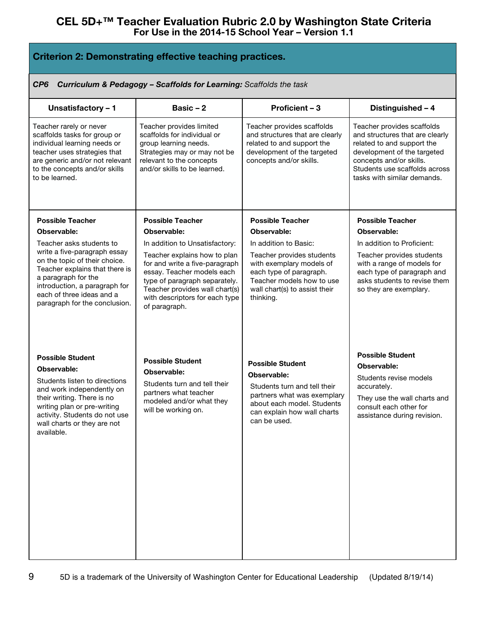## **Criterion 2: Demonstrating effective teaching practices.**

*CP6 Curriculum & Pedagogy – Scaffolds for Learning: Scaffolds the task*

| Unsatisfactory - 1                                                                                                                                                                                                                              | Basic $-2$                                                                                                                                                                                                         | Proficient - 3                                                                                                                                                                     | Distinguished - 4                                                                                                                                                                                                     |
|-------------------------------------------------------------------------------------------------------------------------------------------------------------------------------------------------------------------------------------------------|--------------------------------------------------------------------------------------------------------------------------------------------------------------------------------------------------------------------|------------------------------------------------------------------------------------------------------------------------------------------------------------------------------------|-----------------------------------------------------------------------------------------------------------------------------------------------------------------------------------------------------------------------|
| Teacher rarely or never<br>scaffolds tasks for group or<br>individual learning needs or<br>teacher uses strategies that<br>are generic and/or not relevant<br>to the concepts and/or skills<br>to be learned.                                   | Teacher provides limited<br>scaffolds for individual or<br>group learning needs.<br>Strategies may or may not be<br>relevant to the concepts<br>and/or skills to be learned.                                       | Teacher provides scaffolds<br>and structures that are clearly<br>related to and support the<br>development of the targeted<br>concepts and/or skills.                              | Teacher provides scaffolds<br>and structures that are clearly<br>related to and support the<br>development of the targeted<br>concepts and/or skills.<br>Students use scaffolds across<br>tasks with similar demands. |
| <b>Possible Teacher</b>                                                                                                                                                                                                                         | <b>Possible Teacher</b>                                                                                                                                                                                            | <b>Possible Teacher</b>                                                                                                                                                            | <b>Possible Teacher</b>                                                                                                                                                                                               |
| Observable:                                                                                                                                                                                                                                     | Observable:                                                                                                                                                                                                        | <b>Observable:</b>                                                                                                                                                                 | Observable:                                                                                                                                                                                                           |
| Teacher asks students to                                                                                                                                                                                                                        | In addition to Unsatisfactory:                                                                                                                                                                                     | In addition to Basic:                                                                                                                                                              | In addition to Proficient:                                                                                                                                                                                            |
| write a five-paragraph essay<br>on the topic of their choice.<br>Teacher explains that there is<br>a paragraph for the<br>introduction, a paragraph for<br>each of three ideas and a<br>paragraph for the conclusion.                           | Teacher explains how to plan<br>for and write a five-paragraph<br>essay. Teacher models each<br>type of paragraph separately.<br>Teacher provides wall chart(s)<br>with descriptors for each type<br>of paragraph. | Teacher provides students<br>with exemplary models of<br>each type of paragraph.<br>Teacher models how to use<br>wall chart(s) to assist their<br>thinking.                        | Teacher provides students<br>with a range of models for<br>each type of paragraph and<br>asks students to revise them<br>so they are exemplary.                                                                       |
| <b>Possible Student</b><br>Observable:<br>Students listen to directions<br>and work independently on<br>their writing. There is no<br>writing plan or pre-writing<br>activity. Students do not use<br>wall charts or they are not<br>available. | <b>Possible Student</b><br>Observable:<br>Students turn and tell their<br>partners what teacher<br>modeled and/or what they<br>will be working on.                                                                 | <b>Possible Student</b><br>Observable:<br>Students turn and tell their<br>partners what was exemplary<br>about each model. Students<br>can explain how wall charts<br>can be used. | <b>Possible Student</b><br>Observable:<br>Students revise models<br>accurately.<br>They use the wall charts and<br>consult each other for<br>assistance during revision.                                              |
|                                                                                                                                                                                                                                                 |                                                                                                                                                                                                                    |                                                                                                                                                                                    |                                                                                                                                                                                                                       |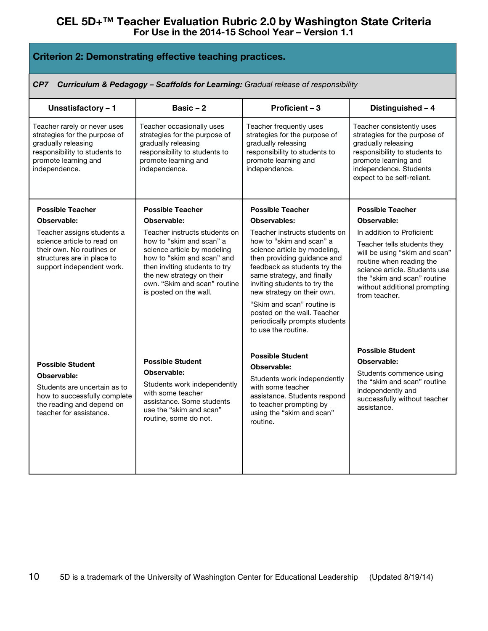| <b>Criterion 2: Demonstrating effective teaching practices.</b> |  |  |
|-----------------------------------------------------------------|--|--|
|-----------------------------------------------------------------|--|--|

| Curriculum & Pedagogy - Scaffolds for Learning: Gradual release of responsibility<br>CP7                                                                       |                                                                                                                                                                                                                                                |                                                                                                                                                                                                                                                                                                                                                                           |                                                                                                                                                                                                                                         |
|----------------------------------------------------------------------------------------------------------------------------------------------------------------|------------------------------------------------------------------------------------------------------------------------------------------------------------------------------------------------------------------------------------------------|---------------------------------------------------------------------------------------------------------------------------------------------------------------------------------------------------------------------------------------------------------------------------------------------------------------------------------------------------------------------------|-----------------------------------------------------------------------------------------------------------------------------------------------------------------------------------------------------------------------------------------|
| Unsatisfactory - 1                                                                                                                                             | Basic $-2$                                                                                                                                                                                                                                     | Proficient - 3                                                                                                                                                                                                                                                                                                                                                            | Distinguished - 4                                                                                                                                                                                                                       |
| Teacher rarely or never uses<br>strategies for the purpose of<br>gradually releasing<br>responsibility to students to<br>promote learning and<br>independence. | Teacher occasionally uses<br>strategies for the purpose of<br>gradually releasing<br>responsibility to students to<br>promote learning and<br>independence.                                                                                    | Teacher frequently uses<br>strategies for the purpose of<br>gradually releasing<br>responsibility to students to<br>promote learning and<br>independence.                                                                                                                                                                                                                 | Teacher consistently uses<br>strategies for the purpose of<br>gradually releasing<br>responsibility to students to<br>promote learning and<br>independence. Students<br>expect to be self-reliant.                                      |
| <b>Possible Teacher</b>                                                                                                                                        | <b>Possible Teacher</b>                                                                                                                                                                                                                        | <b>Possible Teacher</b>                                                                                                                                                                                                                                                                                                                                                   | <b>Possible Teacher</b>                                                                                                                                                                                                                 |
| Observable:                                                                                                                                                    | Observable:                                                                                                                                                                                                                                    | Observables:                                                                                                                                                                                                                                                                                                                                                              | Observable:                                                                                                                                                                                                                             |
| Teacher assigns students a<br>science article to read on<br>their own. No routines or<br>structures are in place to<br>support independent work.               | Teacher instructs students on<br>how to "skim and scan" a<br>science article by modeling<br>how to "skim and scan" and<br>then inviting students to try<br>the new strategy on their<br>own. "Skim and scan" routine<br>is posted on the wall. | Teacher instructs students on<br>how to "skim and scan" a<br>science article by modeling,<br>then providing guidance and<br>feedback as students try the<br>same strategy, and finally<br>inviting students to try the<br>new strategy on their own.<br>"Skim and scan" routine is<br>posted on the wall. Teacher<br>periodically prompts students<br>to use the routine. | In addition to Proficient:<br>Teacher tells students they<br>will be using "skim and scan"<br>routine when reading the<br>science article. Students use<br>the "skim and scan" routine<br>without additional prompting<br>from teacher. |
| <b>Possible Student</b><br>Observable:<br>Students are uncertain as to<br>how to successfully complete<br>the reading and depend on<br>teacher for assistance. | <b>Possible Student</b><br>Observable:<br>Students work independently<br>with some teacher<br>assistance. Some students<br>use the "skim and scan"<br>routine, some do not.                                                                    | <b>Possible Student</b><br>Observable:<br>Students work independently<br>with some teacher<br>assistance. Students respond<br>to teacher prompting by<br>using the "skim and scan"<br>routine.                                                                                                                                                                            | <b>Possible Student</b><br>Observable:<br>Students commence using<br>the "skim and scan" routine<br>independently and<br>successfully without teacher<br>assistance.                                                                    |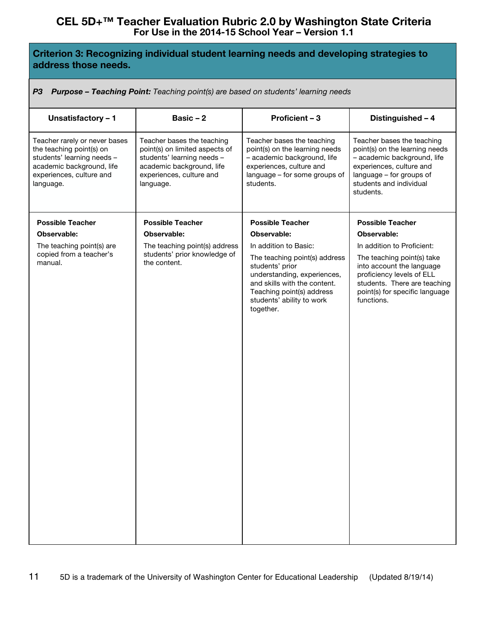# **Criterion 3: Recognizing individual student learning needs and developing strategies to address those needs.**

*P3 Purpose – Teaching Point: Teaching point(s) are based on students' learning needs*

| Unsatisfactory - 1                                                                                                                                            | Basic $-2$                                                                                                                                                       | Proficient - 3                                                                                                                                                                         | Distinguished - 4                                                                                                                                                                           |
|---------------------------------------------------------------------------------------------------------------------------------------------------------------|------------------------------------------------------------------------------------------------------------------------------------------------------------------|----------------------------------------------------------------------------------------------------------------------------------------------------------------------------------------|---------------------------------------------------------------------------------------------------------------------------------------------------------------------------------------------|
| Teacher rarely or never bases<br>the teaching point(s) on<br>students' learning needs -<br>academic background, life<br>experiences, culture and<br>language. | Teacher bases the teaching<br>point(s) on limited aspects of<br>students' learning needs -<br>academic background, life<br>experiences, culture and<br>language. | Teacher bases the teaching<br>point(s) on the learning needs<br>- academic background, life<br>experiences, culture and<br>language - for some groups of<br>students.                  | Teacher bases the teaching<br>point(s) on the learning needs<br>- academic background, life<br>experiences, culture and<br>language - for groups of<br>students and individual<br>students. |
| <b>Possible Teacher</b>                                                                                                                                       | <b>Possible Teacher</b>                                                                                                                                          | <b>Possible Teacher</b>                                                                                                                                                                | <b>Possible Teacher</b>                                                                                                                                                                     |
| Observable:                                                                                                                                                   | Observable:                                                                                                                                                      | Observable:                                                                                                                                                                            | Observable:                                                                                                                                                                                 |
| The teaching point(s) are                                                                                                                                     | The teaching point(s) address                                                                                                                                    | In addition to Basic:                                                                                                                                                                  | In addition to Proficient:                                                                                                                                                                  |
| copied from a teacher's<br>manual.                                                                                                                            | students' prior knowledge of<br>the content.                                                                                                                     | The teaching point(s) address<br>students' prior<br>understanding, experiences,<br>and skills with the content.<br>Teaching point(s) address<br>students' ability to work<br>together. | The teaching point(s) take<br>into account the language<br>proficiency levels of ELL<br>students. There are teaching<br>point(s) for specific language<br>functions.                        |
|                                                                                                                                                               |                                                                                                                                                                  |                                                                                                                                                                                        |                                                                                                                                                                                             |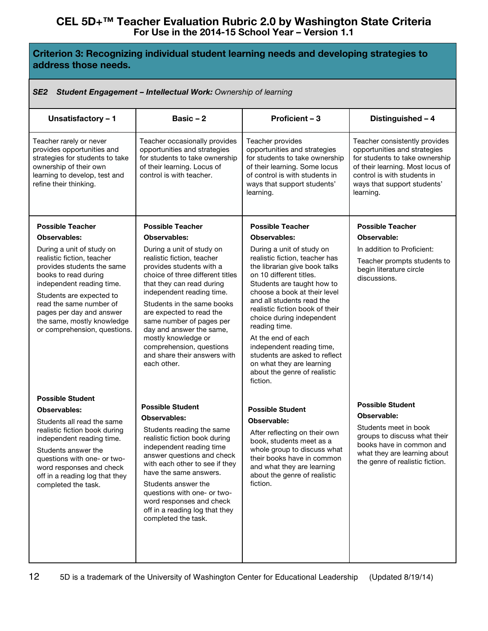# **Criterion 3: Recognizing individual student learning needs and developing strategies to address those needs.**

#### *SE2 Student Engagement – Intellectual Work: Ownership of learning*

| Unsatisfactory - 1                                                                                                                                                                                                                                                                          | Basic - 2                                                                                                                                                                                                                                                                                                                                                                                             | Proficient - 3                                                                                                                                                                                                                                                                                                                                                                                                                                                   | Distinguished - 4                                                                                                                                                                                              |
|---------------------------------------------------------------------------------------------------------------------------------------------------------------------------------------------------------------------------------------------------------------------------------------------|-------------------------------------------------------------------------------------------------------------------------------------------------------------------------------------------------------------------------------------------------------------------------------------------------------------------------------------------------------------------------------------------------------|------------------------------------------------------------------------------------------------------------------------------------------------------------------------------------------------------------------------------------------------------------------------------------------------------------------------------------------------------------------------------------------------------------------------------------------------------------------|----------------------------------------------------------------------------------------------------------------------------------------------------------------------------------------------------------------|
| Teacher rarely or never<br>provides opportunities and<br>strategies for students to take<br>ownership of their own<br>learning to develop, test and<br>refine their thinking.                                                                                                               | Teacher occasionally provides<br>opportunities and strategies<br>for students to take ownership<br>of their learning. Locus of<br>control is with teacher.                                                                                                                                                                                                                                            | Teacher provides<br>opportunities and strategies<br>for students to take ownership<br>of their learning. Some locus<br>of control is with students in<br>ways that support students'<br>learning.                                                                                                                                                                                                                                                                | Teacher consistently provides<br>opportunities and strategies<br>for students to take ownership<br>of their learning. Most locus of<br>control is with students in<br>ways that support students'<br>learning. |
| <b>Possible Teacher</b>                                                                                                                                                                                                                                                                     | <b>Possible Teacher</b>                                                                                                                                                                                                                                                                                                                                                                               | <b>Possible Teacher</b>                                                                                                                                                                                                                                                                                                                                                                                                                                          | <b>Possible Teacher</b>                                                                                                                                                                                        |
| <b>Observables:</b>                                                                                                                                                                                                                                                                         | <b>Observables:</b>                                                                                                                                                                                                                                                                                                                                                                                   | <b>Observables:</b>                                                                                                                                                                                                                                                                                                                                                                                                                                              | Observable:                                                                                                                                                                                                    |
| During a unit of study on<br>realistic fiction, teacher<br>provides students the same<br>books to read during<br>independent reading time.<br>Students are expected to<br>read the same number of<br>pages per day and answer<br>the same, mostly knowledge<br>or comprehension, questions. | During a unit of study on<br>realistic fiction, teacher<br>provides students with a<br>choice of three different titles<br>that they can read during<br>independent reading time.<br>Students in the same books<br>are expected to read the<br>same number of pages per<br>day and answer the same,<br>mostly knowledge or<br>comprehension, questions<br>and share their answers with<br>each other. | During a unit of study on<br>realistic fiction, teacher has<br>the librarian give book talks<br>on 10 different titles.<br>Students are taught how to<br>choose a book at their level<br>and all students read the<br>realistic fiction book of their<br>choice during independent<br>reading time.<br>At the end of each<br>independent reading time,<br>students are asked to reflect<br>on what they are learning<br>about the genre of realistic<br>fiction. | In addition to Proficient:<br>Teacher prompts students to<br>begin literature circle<br>discussions.                                                                                                           |
| <b>Possible Student</b>                                                                                                                                                                                                                                                                     |                                                                                                                                                                                                                                                                                                                                                                                                       |                                                                                                                                                                                                                                                                                                                                                                                                                                                                  |                                                                                                                                                                                                                |
| <b>Observables:</b>                                                                                                                                                                                                                                                                         | <b>Possible Student</b>                                                                                                                                                                                                                                                                                                                                                                               | <b>Possible Student</b>                                                                                                                                                                                                                                                                                                                                                                                                                                          | <b>Possible Student</b><br>Observable:                                                                                                                                                                         |
| Students all read the same<br>realistic fiction book during<br>independent reading time.<br>Students answer the<br>questions with one- or two-<br>word responses and check<br>off in a reading log that they<br>completed the task.                                                         | <b>Observables:</b><br>Students reading the same<br>realistic fiction book during<br>independent reading time<br>answer questions and check<br>with each other to see if they<br>have the same answers.<br>Students answer the<br>questions with one- or two-<br>word responses and check<br>off in a reading log that they<br>completed the task.                                                    | Observable:<br>After reflecting on their own<br>book, students meet as a<br>whole group to discuss what<br>their books have in common<br>and what they are learning<br>about the genre of realistic<br>fiction.                                                                                                                                                                                                                                                  | Students meet in book<br>groups to discuss what their<br>books have in common and<br>what they are learning about<br>the genre of realistic fiction.                                                           |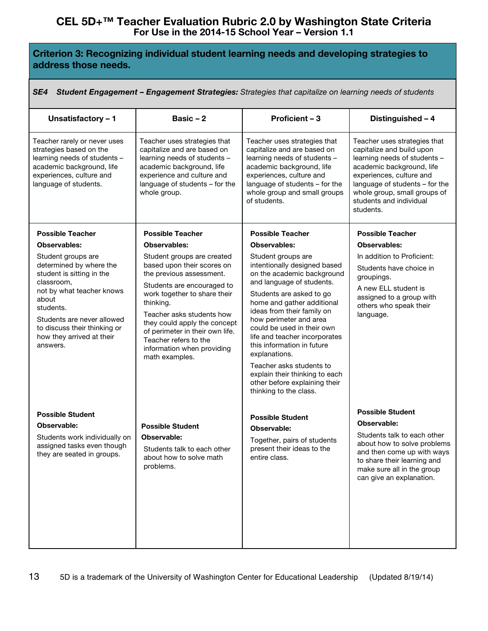# **Criterion 3: Recognizing individual student learning needs and developing strategies to address those needs.**

| <b>Student Engagement - Engagement Strategies:</b> Strategies that capitalize on learning needs of students<br>SE4                                                                                                                                 |                                                                                                                                                                                                                                                                                                                                          |                                                                                                                                                                                                                                                                                                                                                                                                                                                                        |                                                                                                                                                                                                                                                              |  |
|----------------------------------------------------------------------------------------------------------------------------------------------------------------------------------------------------------------------------------------------------|------------------------------------------------------------------------------------------------------------------------------------------------------------------------------------------------------------------------------------------------------------------------------------------------------------------------------------------|------------------------------------------------------------------------------------------------------------------------------------------------------------------------------------------------------------------------------------------------------------------------------------------------------------------------------------------------------------------------------------------------------------------------------------------------------------------------|--------------------------------------------------------------------------------------------------------------------------------------------------------------------------------------------------------------------------------------------------------------|--|
| Unsatisfactory - 1                                                                                                                                                                                                                                 | Basic $-2$                                                                                                                                                                                                                                                                                                                               | Proficient - 3                                                                                                                                                                                                                                                                                                                                                                                                                                                         | Distinguished - 4                                                                                                                                                                                                                                            |  |
| Teacher rarely or never uses<br>strategies based on the<br>learning needs of students -<br>academic background, life<br>experiences, culture and<br>language of students.                                                                          | Teacher uses strategies that<br>capitalize and are based on<br>learning needs of students -<br>academic background, life<br>experience and culture and<br>language of students - for the<br>whole group.                                                                                                                                 | Teacher uses strategies that<br>capitalize and are based on<br>learning needs of students -<br>academic background, life<br>experiences, culture and<br>language of students - for the<br>whole group and small groups<br>of students.                                                                                                                                                                                                                                 | Teacher uses strategies that<br>capitalize and build upon<br>learning needs of students -<br>academic background, life<br>experiences, culture and<br>language of students - for the<br>whole group, small groups of<br>students and individual<br>students. |  |
| <b>Possible Teacher</b><br><b>Observables:</b>                                                                                                                                                                                                     | <b>Possible Teacher</b><br><b>Observables:</b>                                                                                                                                                                                                                                                                                           | <b>Possible Teacher</b><br><b>Observables:</b>                                                                                                                                                                                                                                                                                                                                                                                                                         | <b>Possible Teacher</b><br>Observables:                                                                                                                                                                                                                      |  |
| Student groups are<br>determined by where the<br>student is sitting in the<br>classroom,<br>not by what teacher knows<br>about<br>students.<br>Students are never allowed<br>to discuss their thinking or<br>how they arrived at their<br>answers. | Student groups are created<br>based upon their scores on<br>the previous assessment.<br>Students are encouraged to<br>work together to share their<br>thinking.<br>Teacher asks students how<br>they could apply the concept<br>of perimeter in their own life.<br>Teacher refers to the<br>information when providing<br>math examples. | Student groups are<br>intentionally designed based<br>on the academic background<br>and language of students.<br>Students are asked to go<br>home and gather additional<br>ideas from their family on<br>how perimeter and area<br>could be used in their own<br>life and teacher incorporates<br>this information in future<br>explanations.<br>Teacher asks students to<br>explain their thinking to each<br>other before explaining their<br>thinking to the class. | In addition to Proficient:<br>Students have choice in<br>groupings.<br>A new ELL student is<br>assigned to a group with<br>others who speak their<br>language.                                                                                               |  |
| <b>Possible Student</b><br>Observable:<br>Students work individually on<br>assigned tasks even though<br>they are seated in groups.                                                                                                                | <b>Possible Student</b><br>Observable:<br>Students talk to each other<br>about how to solve math<br>problems.                                                                                                                                                                                                                            | <b>Possible Student</b><br>Observable:<br>Together, pairs of students<br>present their ideas to the<br>entire class.                                                                                                                                                                                                                                                                                                                                                   | <b>Possible Student</b><br>Observable:<br>Students talk to each other<br>about how to solve problems<br>and then come up with ways<br>to share their learning and<br>make sure all in the group<br>can give an explanation.                                  |  |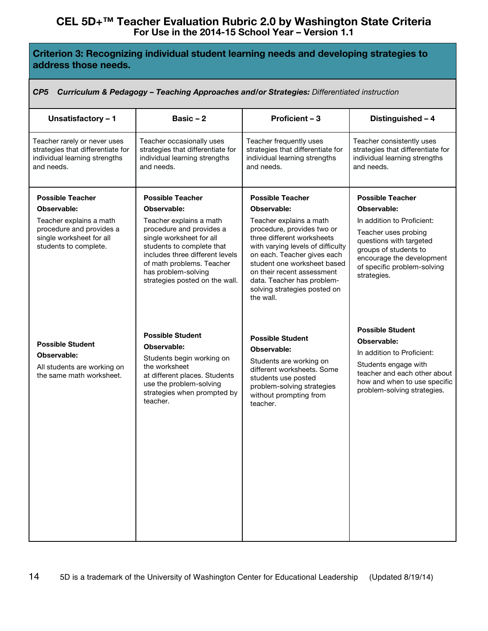# **Criterion 3: Recognizing individual student learning needs and developing strategies to address those needs.**

|  | CP5 Curriculum & Pedagogy - Teaching Approaches and/or Strategies: Differentiated instruction |  |  |  |
|--|-----------------------------------------------------------------------------------------------|--|--|--|
|--|-----------------------------------------------------------------------------------------------|--|--|--|

| Unsatisfactory - 1                                                                                               | Basic $-2$                                                                                                                                                                                                                            | Proficient - 3                                                                                                                                                                                                                                                                                  | Distinguished - 4                                                                                                                                                                           |
|------------------------------------------------------------------------------------------------------------------|---------------------------------------------------------------------------------------------------------------------------------------------------------------------------------------------------------------------------------------|-------------------------------------------------------------------------------------------------------------------------------------------------------------------------------------------------------------------------------------------------------------------------------------------------|---------------------------------------------------------------------------------------------------------------------------------------------------------------------------------------------|
| Teacher rarely or never uses<br>strategies that differentiate for<br>individual learning strengths<br>and needs. | Teacher occasionally uses<br>strategies that differentiate for<br>individual learning strengths<br>and needs.                                                                                                                         | Teacher frequently uses<br>strategies that differentiate for<br>individual learning strengths<br>and needs.                                                                                                                                                                                     | Teacher consistently uses<br>strategies that differentiate for<br>individual learning strengths<br>and needs.                                                                               |
| <b>Possible Teacher</b>                                                                                          | <b>Possible Teacher</b>                                                                                                                                                                                                               | <b>Possible Teacher</b>                                                                                                                                                                                                                                                                         | <b>Possible Teacher</b>                                                                                                                                                                     |
| Observable:                                                                                                      | Observable:                                                                                                                                                                                                                           | Observable:                                                                                                                                                                                                                                                                                     | Observable:                                                                                                                                                                                 |
| Teacher explains a math<br>procedure and provides a<br>single worksheet for all<br>students to complete.         | Teacher explains a math<br>procedure and provides a<br>single worksheet for all<br>students to complete that<br>includes three different levels<br>of math problems. Teacher<br>has problem-solving<br>strategies posted on the wall. | Teacher explains a math<br>procedure, provides two or<br>three different worksheets<br>with varying levels of difficulty<br>on each. Teacher gives each<br>student one worksheet based<br>on their recent assessment<br>data. Teacher has problem-<br>solving strategies posted on<br>the wall. | In addition to Proficient:<br>Teacher uses probing<br>questions with targeted<br>groups of students to<br>encourage the development<br>of specific problem-solving<br>strategies.           |
| <b>Possible Student</b><br>Observable:<br>All students are working on<br>the same math worksheet.                | <b>Possible Student</b><br>Observable:<br>Students begin working on<br>the worksheet<br>at different places. Students<br>use the problem-solving<br>strategies when prompted by<br>teacher.                                           | <b>Possible Student</b><br>Observable:<br>Students are working on<br>different worksheets. Some<br>students use posted<br>problem-solving strategies<br>without prompting from<br>teacher.                                                                                                      | <b>Possible Student</b><br>Observable:<br>In addition to Proficient:<br>Students engage with<br>teacher and each other about<br>how and when to use specific<br>problem-solving strategies. |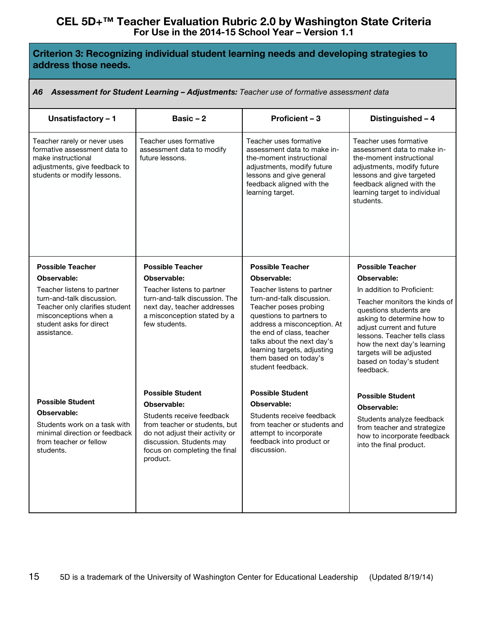# **Criterion 3: Recognizing individual student learning needs and developing strategies to address those needs.**

#### *A6 Assessment for Student Learning – Adjustments: Teacher use of formative assessment data*

| Unsatisfactory - 1                                                                                                                                 | Basic $-2$                                                                                                                                                             | <b>Proficient - 3</b>                                                                                                                                                                                                                                 | Distinguished - 4                                                                                                                                                                                                                                      |
|----------------------------------------------------------------------------------------------------------------------------------------------------|------------------------------------------------------------------------------------------------------------------------------------------------------------------------|-------------------------------------------------------------------------------------------------------------------------------------------------------------------------------------------------------------------------------------------------------|--------------------------------------------------------------------------------------------------------------------------------------------------------------------------------------------------------------------------------------------------------|
| Teacher rarely or never uses<br>formative assessment data to<br>make instructional<br>adjustments, give feedback to<br>students or modify lessons. | Teacher uses formative<br>assessment data to modify<br>future lessons.                                                                                                 | Teacher uses formative<br>assessment data to make in-<br>the-moment instructional<br>adjustments, modify future<br>lessons and give general<br>feedback aligned with the<br>learning target.                                                          | Teacher uses formative<br>assessment data to make in-<br>the-moment instructional<br>adjustments, modify future<br>lessons and give targeted<br>feedback aligned with the<br>learning target to individual<br>students.                                |
| <b>Possible Teacher</b>                                                                                                                            | <b>Possible Teacher</b>                                                                                                                                                | <b>Possible Teacher</b>                                                                                                                                                                                                                               | <b>Possible Teacher</b>                                                                                                                                                                                                                                |
| Observable:                                                                                                                                        | Observable:                                                                                                                                                            | Observable:                                                                                                                                                                                                                                           | Observable:                                                                                                                                                                                                                                            |
| Teacher listens to partner                                                                                                                         | Teacher listens to partner                                                                                                                                             | Teacher listens to partner                                                                                                                                                                                                                            | In addition to Proficient:                                                                                                                                                                                                                             |
| turn-and-talk discussion.<br>Teacher only clarifies student<br>misconceptions when a<br>student asks for direct<br>assistance.                     | turn-and-talk discussion. The<br>next day, teacher addresses<br>a misconception stated by a<br>few students.                                                           | turn-and-talk discussion.<br>Teacher poses probing<br>questions to partners to<br>address a misconception. At<br>the end of class, teacher<br>talks about the next day's<br>learning targets, adjusting<br>them based on today's<br>student feedback. | Teacher monitors the kinds of<br>questions students are<br>asking to determine how to<br>adjust current and future<br>lessons. Teacher tells class<br>how the next day's learning<br>targets will be adjusted<br>based on today's student<br>feedback. |
|                                                                                                                                                    | <b>Possible Student</b>                                                                                                                                                | <b>Possible Student</b>                                                                                                                                                                                                                               | <b>Possible Student</b>                                                                                                                                                                                                                                |
| <b>Possible Student</b>                                                                                                                            | Observable:                                                                                                                                                            | Observable:                                                                                                                                                                                                                                           | Observable:                                                                                                                                                                                                                                            |
| Observable:<br>Students work on a task with<br>minimal direction or feedback<br>from teacher or fellow<br>students.                                | Students receive feedback<br>from teacher or students, but<br>do not adjust their activity or<br>discussion. Students may<br>focus on completing the final<br>product. | Students receive feedback<br>from teacher or students and<br>attempt to incorporate<br>feedback into product or<br>discussion.                                                                                                                        | Students analyze feedback<br>from teacher and strategize<br>how to incorporate feedback<br>into the final product.                                                                                                                                     |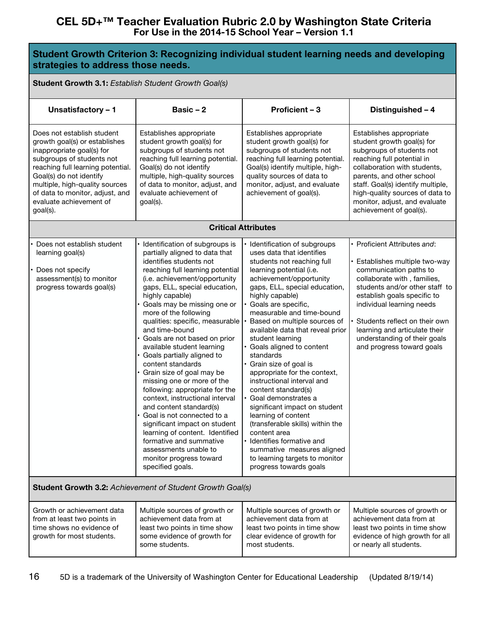#### **Student Growth Criterion 3: Recognizing individual student learning needs and developing strategies to address those needs.**

#### **Student Growth 3.1:** *Establish Student Growth Goal(s)*

| Unsatisfactory - 1                                                                                                                                                                                                                                                                                | Basic $-2$                                                                                                                                                                                                                                                                                                                                                                                                                                                                                                                                                                                                                                                                                                                                                                                                           | Proficient - 3                                                                                                                                                                                                                                                                                                                                                                                                                                                                                                                                                                                                                                                                                                                                                | Distinguished - 4                                                                                                                                                                                                                                                                                                                                  |  |
|---------------------------------------------------------------------------------------------------------------------------------------------------------------------------------------------------------------------------------------------------------------------------------------------------|----------------------------------------------------------------------------------------------------------------------------------------------------------------------------------------------------------------------------------------------------------------------------------------------------------------------------------------------------------------------------------------------------------------------------------------------------------------------------------------------------------------------------------------------------------------------------------------------------------------------------------------------------------------------------------------------------------------------------------------------------------------------------------------------------------------------|---------------------------------------------------------------------------------------------------------------------------------------------------------------------------------------------------------------------------------------------------------------------------------------------------------------------------------------------------------------------------------------------------------------------------------------------------------------------------------------------------------------------------------------------------------------------------------------------------------------------------------------------------------------------------------------------------------------------------------------------------------------|----------------------------------------------------------------------------------------------------------------------------------------------------------------------------------------------------------------------------------------------------------------------------------------------------------------------------------------------------|--|
| Does not establish student<br>growth goal(s) or establishes<br>inappropriate goal(s) for<br>subgroups of students not<br>reaching full learning potential.<br>Goal(s) do not identify<br>multiple, high-quality sources<br>of data to monitor, adjust, and<br>evaluate achievement of<br>goal(s). | Establishes appropriate<br>student growth goal(s) for<br>subgroups of students not<br>reaching full learning potential.<br>Goal(s) do not identify<br>multiple, high-quality sources<br>of data to monitor, adjust, and<br>evaluate achievement of<br>goal(s).                                                                                                                                                                                                                                                                                                                                                                                                                                                                                                                                                       | Establishes appropriate<br>student growth goal(s) for<br>subgroups of students not<br>reaching full learning potential.<br>Goal(s) identify multiple, high-<br>quality sources of data to<br>monitor, adjust, and evaluate<br>achievement of goal(s).                                                                                                                                                                                                                                                                                                                                                                                                                                                                                                         | Establishes appropriate<br>student growth goal(s) for<br>subgroups of students not<br>reaching full potential in<br>collaboration with students,<br>parents, and other school<br>staff. Goal(s) identify multiple,<br>high-quality sources of data to<br>monitor, adjust, and evaluate<br>achievement of goal(s).                                  |  |
|                                                                                                                                                                                                                                                                                                   |                                                                                                                                                                                                                                                                                                                                                                                                                                                                                                                                                                                                                                                                                                                                                                                                                      | <b>Critical Attributes</b>                                                                                                                                                                                                                                                                                                                                                                                                                                                                                                                                                                                                                                                                                                                                    |                                                                                                                                                                                                                                                                                                                                                    |  |
| Does not establish student<br>learning goal(s)<br>Does not specify<br>assessment(s) to monitor<br>progress towards goal(s)                                                                                                                                                                        | Identification of subgroups is<br>partially aligned to data that<br>identifies students not<br>reaching full learning potential<br>(i.e. achievement/opportunity<br>gaps, ELL, special education,<br>highly capable)<br>· Goals may be missing one or<br>more of the following<br>qualities: specific, measurable<br>and time-bound<br>Goals are not based on prior<br>available student learning<br>Goals partially aligned to<br>content standards<br>Grain size of goal may be<br>missing one or more of the<br>following: appropriate for the<br>context, instructional interval<br>and content standard(s)<br>Goal is not connected to a<br>significant impact on student<br>learning of content. Identified<br>formative and summative<br>assessments unable to<br>monitor progress toward<br>specified goals. | Identification of subgroups<br>uses data that identifies<br>students not reaching full<br>learning potential (i.e.<br>achievement/opportunity<br>gaps, ELL, special education,<br>highly capable)<br>Goals are specific,<br>measurable and time-bound<br>Based on multiple sources of<br>available data that reveal prior<br>student learning<br>Goals aligned to content<br>standards<br>Grain size of goal is<br>appropriate for the context,<br>instructional interval and<br>content standard(s)<br>Goal demonstrates a<br>significant impact on student<br>learning of content<br>(transferable skills) within the<br>content area<br>Identifies formative and<br>summative measures aligned<br>to learning targets to monitor<br>progress towards goals | · Proficient Attributes and:<br>Establishes multiple two-way<br>communication paths to<br>collaborate with, families,<br>students and/or other staff to<br>establish goals specific to<br>individual learning needs<br>Students reflect on their own<br>learning and articulate their<br>understanding of their goals<br>and progress toward goals |  |
| <b>Student Growth 3.2: Achievement of Student Growth Goal(s)</b>                                                                                                                                                                                                                                  |                                                                                                                                                                                                                                                                                                                                                                                                                                                                                                                                                                                                                                                                                                                                                                                                                      |                                                                                                                                                                                                                                                                                                                                                                                                                                                                                                                                                                                                                                                                                                                                                               |                                                                                                                                                                                                                                                                                                                                                    |  |
| Growth or achievement data<br>from at least two points in<br>time shows no evidence of<br>growth for most students.                                                                                                                                                                               | Multiple sources of growth or<br>achievement data from at<br>least two points in time show<br>some evidence of growth for<br>some students.                                                                                                                                                                                                                                                                                                                                                                                                                                                                                                                                                                                                                                                                          | Multiple sources of growth or<br>achievement data from at<br>least two points in time show<br>clear evidence of growth for<br>most students.                                                                                                                                                                                                                                                                                                                                                                                                                                                                                                                                                                                                                  | Multiple sources of growth or<br>achievement data from at<br>least two points in time show<br>evidence of high growth for all<br>or nearly all students.                                                                                                                                                                                           |  |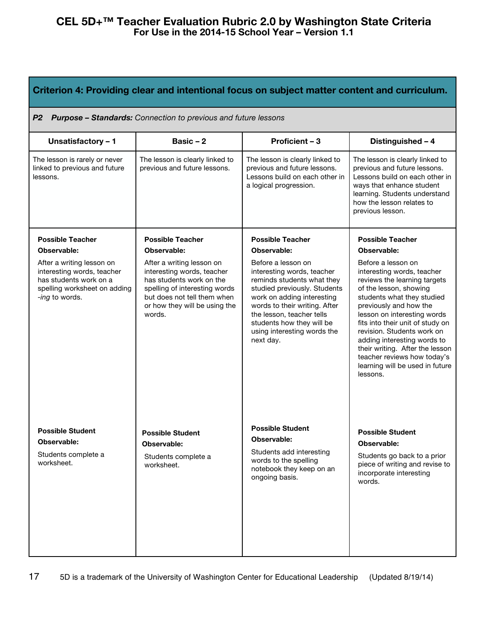| Criterion 4: Providing clear and intentional focus on subject matter content and curriculum.                                        |                                                                                                                                                                                                |                                                                                                                                                                                                                                                                                     |                                                                                                                                                                                                                                                                                                                                                                                                                     |  |
|-------------------------------------------------------------------------------------------------------------------------------------|------------------------------------------------------------------------------------------------------------------------------------------------------------------------------------------------|-------------------------------------------------------------------------------------------------------------------------------------------------------------------------------------------------------------------------------------------------------------------------------------|---------------------------------------------------------------------------------------------------------------------------------------------------------------------------------------------------------------------------------------------------------------------------------------------------------------------------------------------------------------------------------------------------------------------|--|
| P <sub>2</sub>                                                                                                                      | <b>Purpose - Standards:</b> Connection to previous and future lessons                                                                                                                          |                                                                                                                                                                                                                                                                                     |                                                                                                                                                                                                                                                                                                                                                                                                                     |  |
| Unsatisfactory - 1                                                                                                                  | Basic $-2$                                                                                                                                                                                     | Proficient - 3                                                                                                                                                                                                                                                                      | Distinguished - 4                                                                                                                                                                                                                                                                                                                                                                                                   |  |
| The lesson is rarely or never<br>linked to previous and future<br>lessons.                                                          | The lesson is clearly linked to<br>previous and future lessons.                                                                                                                                | The lesson is clearly linked to<br>previous and future lessons.<br>Lessons build on each other in<br>a logical progression.                                                                                                                                                         | The lesson is clearly linked to<br>previous and future lessons.<br>Lessons build on each other in<br>ways that enhance student<br>learning. Students understand<br>how the lesson relates to<br>previous lesson.                                                                                                                                                                                                    |  |
| <b>Possible Teacher</b>                                                                                                             | <b>Possible Teacher</b>                                                                                                                                                                        | <b>Possible Teacher</b>                                                                                                                                                                                                                                                             | <b>Possible Teacher</b>                                                                                                                                                                                                                                                                                                                                                                                             |  |
| Observable:                                                                                                                         | Observable:                                                                                                                                                                                    | Observable:                                                                                                                                                                                                                                                                         | Observable:                                                                                                                                                                                                                                                                                                                                                                                                         |  |
| After a writing lesson on<br>interesting words, teacher<br>has students work on a<br>spelling worksheet on adding<br>-ing to words. | After a writing lesson on<br>interesting words, teacher<br>has students work on the<br>spelling of interesting words<br>but does not tell them when<br>or how they will be using the<br>words. | Before a lesson on<br>interesting words, teacher<br>reminds students what they<br>studied previously. Students<br>work on adding interesting<br>words to their writing. After<br>the lesson, teacher tells<br>students how they will be<br>using interesting words the<br>next day. | Before a lesson on<br>interesting words, teacher<br>reviews the learning targets<br>of the lesson, showing<br>students what they studied<br>previously and how the<br>lesson on interesting words<br>fits into their unit of study on<br>revision. Students work on<br>adding interesting words to<br>their writing. After the lesson<br>teacher reviews how today's<br>learning will be used in future<br>lessons. |  |
| <b>Possible Student</b><br>Observable:<br>Students complete a<br>worksheet.                                                         | <b>Possible Student</b><br>Observable:<br>Students complete a<br>worksheet.                                                                                                                    | <b>Possible Student</b><br>Observable:<br>Students add interesting<br>words to the spelling<br>notebook they keep on an<br>ongoing basis.                                                                                                                                           | <b>Possible Student</b><br>Observable:<br>Students go back to a prior<br>piece of writing and revise to<br>incorporate interesting<br>words.                                                                                                                                                                                                                                                                        |  |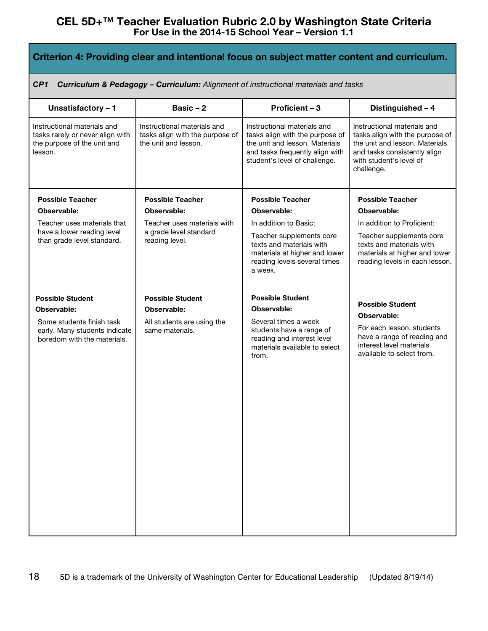| Criterion 4: Providing clear and intentional focus on subject matter content and curriculum.                     |                                                                                        |                                                                                                                                                                      |                                                                                                                                                                           |  |
|------------------------------------------------------------------------------------------------------------------|----------------------------------------------------------------------------------------|----------------------------------------------------------------------------------------------------------------------------------------------------------------------|---------------------------------------------------------------------------------------------------------------------------------------------------------------------------|--|
| CP <sub>1</sub><br><b>Curriculum &amp; Pedagogy - Curriculum:</b> Alignment of instructional materials and tasks |                                                                                        |                                                                                                                                                                      |                                                                                                                                                                           |  |
| Unsatisfactory - 1                                                                                               | Basic $-2$                                                                             | Proficient - 3                                                                                                                                                       | Distinguished - 4                                                                                                                                                         |  |
| Instructional materials and<br>tasks rarely or never align with<br>the purpose of the unit and<br>lesson.        | Instructional materials and<br>tasks align with the purpose of<br>the unit and lesson. | Instructional materials and<br>tasks align with the purpose of<br>the unit and lesson. Materials<br>and tasks frequently align with<br>student's level of challenge. | Instructional materials and<br>tasks align with the purpose of<br>the unit and lesson. Materials<br>and tasks consistently align<br>with student's level of<br>challenge. |  |
| <b>Possible Teacher</b>                                                                                          | <b>Possible Teacher</b>                                                                | <b>Possible Teacher</b>                                                                                                                                              | <b>Possible Teacher</b>                                                                                                                                                   |  |
| Observable:                                                                                                      | Observable:                                                                            | Observable:                                                                                                                                                          | Observable:                                                                                                                                                               |  |
| Teacher uses materials that                                                                                      | Teacher uses materials with                                                            | In addition to Basic:                                                                                                                                                | In addition to Proficient:                                                                                                                                                |  |
| have a lower reading level<br>than grade level standard.                                                         | a grade level standard<br>reading level.                                               | Teacher supplements core<br>texts and materials with<br>materials at higher and lower<br>reading levels several times<br>a week.                                     | Teacher supplements core<br>texts and materials with<br>materials at higher and lower<br>reading levels in each lesson.                                                   |  |
| <b>Possible Student</b>                                                                                          | <b>Possible Student</b>                                                                | <b>Possible Student</b>                                                                                                                                              |                                                                                                                                                                           |  |
| Observable:                                                                                                      | Observable:                                                                            | Observable:                                                                                                                                                          | <b>Possible Student</b><br>Observable:                                                                                                                                    |  |
| Some students finish task<br>early. Many students indicate<br>boredom with the materials.                        | All students are using the<br>same materials.                                          | Several times a week<br>students have a range of<br>reading and interest level<br>materials available to select<br>from.                                             | For each lesson, students<br>have a range of reading and<br>interest level materials<br>available to select from.                                                         |  |
|                                                                                                                  |                                                                                        |                                                                                                                                                                      |                                                                                                                                                                           |  |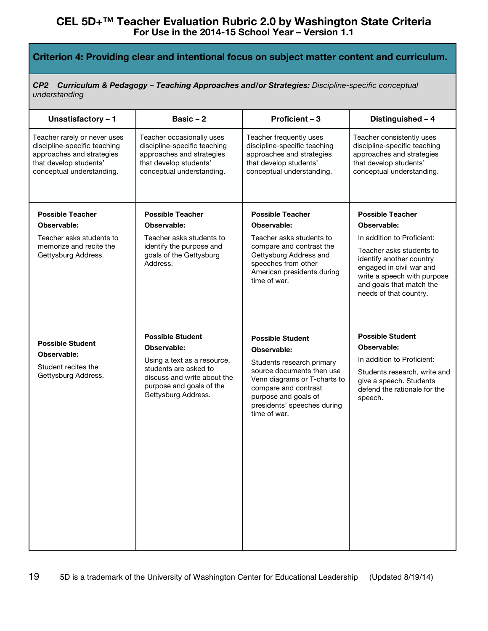## **Criterion 4: Providing clear and intentional focus on subject matter content and curriculum.**

*CP2 Curriculum & Pedagogy – Teaching Approaches and/or Strategies: Discipline-specific conceptual understanding*

| Unsatisfactory - 1                                                                                                                               | Basic $-2$                                                                                                                                    | Proficient - 3                                                                                                                                                                        | Distinguished - 4                                                                                                                                                     |
|--------------------------------------------------------------------------------------------------------------------------------------------------|-----------------------------------------------------------------------------------------------------------------------------------------------|---------------------------------------------------------------------------------------------------------------------------------------------------------------------------------------|-----------------------------------------------------------------------------------------------------------------------------------------------------------------------|
| Teacher rarely or never uses<br>discipline-specific teaching<br>approaches and strategies<br>that develop students'<br>conceptual understanding. | Teacher occasionally uses<br>discipline-specific teaching<br>approaches and strategies<br>that develop students'<br>conceptual understanding. | Teacher frequently uses<br>discipline-specific teaching<br>approaches and strategies<br>that develop students'<br>conceptual understanding.                                           | Teacher consistently uses<br>discipline-specific teaching<br>approaches and strategies<br>that develop students'<br>conceptual understanding.                         |
| <b>Possible Teacher</b>                                                                                                                          | <b>Possible Teacher</b>                                                                                                                       | <b>Possible Teacher</b>                                                                                                                                                               | <b>Possible Teacher</b>                                                                                                                                               |
| Observable:                                                                                                                                      | Observable:                                                                                                                                   | Observable:                                                                                                                                                                           | Observable:                                                                                                                                                           |
| Teacher asks students to                                                                                                                         | Teacher asks students to                                                                                                                      | Teacher asks students to                                                                                                                                                              | In addition to Proficient:                                                                                                                                            |
| memorize and recite the<br>Gettysburg Address.                                                                                                   | identify the purpose and<br>goals of the Gettysburg<br>Address.                                                                               | compare and contrast the<br>Gettysburg Address and<br>speeches from other<br>American presidents during<br>time of war.                                                               | Teacher asks students to<br>identify another country<br>engaged in civil war and<br>write a speech with purpose<br>and goals that match the<br>needs of that country. |
| <b>Possible Student</b>                                                                                                                          | <b>Possible Student</b><br>Observable:                                                                                                        | <b>Possible Student</b>                                                                                                                                                               | <b>Possible Student</b><br>Observable:                                                                                                                                |
| Observable:                                                                                                                                      |                                                                                                                                               | Observable:                                                                                                                                                                           | In addition to Proficient:                                                                                                                                            |
| Student recites the<br>Gettysburg Address.                                                                                                       | Using a text as a resource,<br>students are asked to<br>discuss and write about the<br>purpose and goals of the<br>Gettysburg Address.        | Students research primary<br>source documents then use<br>Venn diagrams or T-charts to<br>compare and contrast<br>purpose and goals of<br>presidents' speeches during<br>time of war. | Students research, write and<br>give a speech. Students<br>defend the rationale for the<br>speech.                                                                    |
|                                                                                                                                                  |                                                                                                                                               |                                                                                                                                                                                       |                                                                                                                                                                       |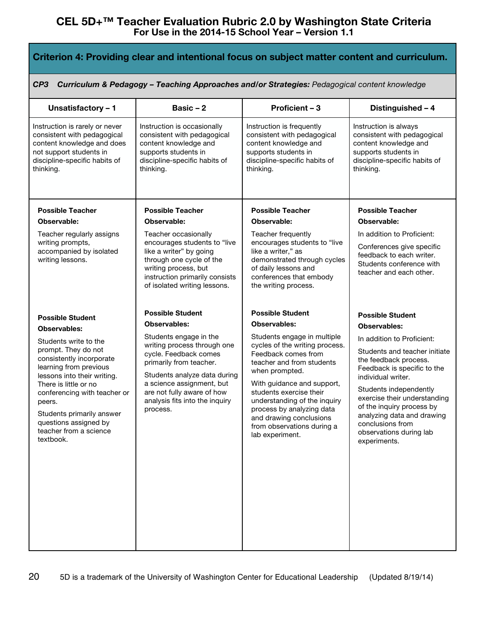| Criterion 4: Providing clear and intentional focus on subject matter content and curriculum.                                                                                                                                                                                                                             |                                                                                                                                                                                                                                                                           |                                                                                                                                                                                                                                                                                                                                                              |                                                                                                                                                                                                                                                                                                                                                      |  |  |  |
|--------------------------------------------------------------------------------------------------------------------------------------------------------------------------------------------------------------------------------------------------------------------------------------------------------------------------|---------------------------------------------------------------------------------------------------------------------------------------------------------------------------------------------------------------------------------------------------------------------------|--------------------------------------------------------------------------------------------------------------------------------------------------------------------------------------------------------------------------------------------------------------------------------------------------------------------------------------------------------------|------------------------------------------------------------------------------------------------------------------------------------------------------------------------------------------------------------------------------------------------------------------------------------------------------------------------------------------------------|--|--|--|
| CP <sub>3</sub>                                                                                                                                                                                                                                                                                                          | Curriculum & Pedagogy - Teaching Approaches and/or Strategies: Pedagogical content knowledge                                                                                                                                                                              |                                                                                                                                                                                                                                                                                                                                                              |                                                                                                                                                                                                                                                                                                                                                      |  |  |  |
| Unsatisfactory - 1                                                                                                                                                                                                                                                                                                       | Basic $-2$                                                                                                                                                                                                                                                                | Proficient - 3                                                                                                                                                                                                                                                                                                                                               | Distinguished - 4                                                                                                                                                                                                                                                                                                                                    |  |  |  |
| Instruction is rarely or never<br>consistent with pedagogical<br>content knowledge and does<br>not support students in<br>discipline-specific habits of<br>thinking.                                                                                                                                                     | Instruction is occasionally<br>consistent with pedagogical<br>content knowledge and<br>supports students in<br>discipline-specific habits of<br>thinking.                                                                                                                 | Instruction is frequently<br>consistent with pedagogical<br>content knowledge and<br>supports students in<br>discipline-specific habits of<br>thinking.                                                                                                                                                                                                      | Instruction is always<br>consistent with pedagogical<br>content knowledge and<br>supports students in<br>discipline-specific habits of<br>thinking.                                                                                                                                                                                                  |  |  |  |
| <b>Possible Teacher</b>                                                                                                                                                                                                                                                                                                  | <b>Possible Teacher</b>                                                                                                                                                                                                                                                   | <b>Possible Teacher</b>                                                                                                                                                                                                                                                                                                                                      | <b>Possible Teacher</b>                                                                                                                                                                                                                                                                                                                              |  |  |  |
| Observable:                                                                                                                                                                                                                                                                                                              | Observable:                                                                                                                                                                                                                                                               | Observable:                                                                                                                                                                                                                                                                                                                                                  | Observable:                                                                                                                                                                                                                                                                                                                                          |  |  |  |
| Teacher regularly assigns<br>writing prompts,<br>accompanied by isolated<br>writing lessons.                                                                                                                                                                                                                             | Teacher occasionally<br>encourages students to "live<br>like a writer" by going<br>through one cycle of the<br>writing process, but<br>instruction primarily consists<br>of isolated writing lessons.                                                                     | Teacher frequently<br>encourages students to "live<br>like a writer," as<br>demonstrated through cycles<br>of daily lessons and<br>conferences that embody<br>the writing process.                                                                                                                                                                           | In addition to Proficient:<br>Conferences give specific<br>feedback to each writer.<br>Students conference with<br>teacher and each other.                                                                                                                                                                                                           |  |  |  |
| <b>Possible Student</b>                                                                                                                                                                                                                                                                                                  | <b>Possible Student</b>                                                                                                                                                                                                                                                   | <b>Possible Student</b>                                                                                                                                                                                                                                                                                                                                      | <b>Possible Student</b>                                                                                                                                                                                                                                                                                                                              |  |  |  |
| <b>Observables:</b><br>Students write to the<br>prompt. They do not<br>consistently incorporate<br>learning from previous<br>lessons into their writing.<br>There is little or no<br>conferencing with teacher or<br>peers.<br>Students primarily answer<br>questions assigned by<br>teacher from a science<br>textbook. | <b>Observables:</b><br>Students engage in the<br>writing process through one<br>cycle. Feedback comes<br>primarily from teacher.<br>Students analyze data during<br>a science assignment, but<br>are not fully aware of how<br>analysis fits into the inquiry<br>process. | <b>Observables:</b><br>Students engage in multiple<br>cycles of the writing process.<br>Feedback comes from<br>teacher and from students<br>when prompted.<br>With guidance and support,<br>students exercise their<br>understanding of the inquiry<br>process by analyzing data<br>and drawing conclusions<br>from observations during a<br>lab experiment. | <b>Observables:</b><br>In addition to Proficient:<br>Students and teacher initiate<br>the feedback process.<br>Feedback is specific to the<br>individual writer.<br>Students independently<br>exercise their understanding<br>of the inquiry process by<br>analyzing data and drawing<br>conclusions from<br>observations during lab<br>experiments. |  |  |  |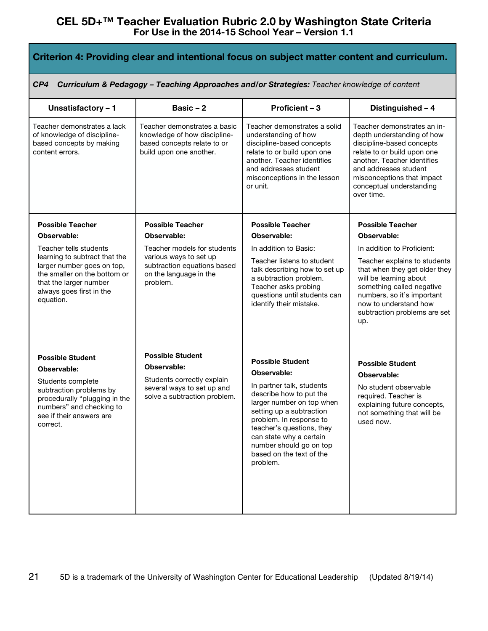| Criterion 4: Providing clear and intentional focus on subject matter content and curriculum.                                                                                                |                                                                                                                                    |                                                                                                                                                                                                                                                                                                               |                                                                                                                                                                                                                                                       |  |
|---------------------------------------------------------------------------------------------------------------------------------------------------------------------------------------------|------------------------------------------------------------------------------------------------------------------------------------|---------------------------------------------------------------------------------------------------------------------------------------------------------------------------------------------------------------------------------------------------------------------------------------------------------------|-------------------------------------------------------------------------------------------------------------------------------------------------------------------------------------------------------------------------------------------------------|--|
| CP4                                                                                                                                                                                         |                                                                                                                                    | Curriculum & Pedagogy - Teaching Approaches and/or Strategies: Teacher knowledge of content                                                                                                                                                                                                                   |                                                                                                                                                                                                                                                       |  |
| Unsatisfactory - 1                                                                                                                                                                          | Basic $-2$                                                                                                                         | Proficient - 3                                                                                                                                                                                                                                                                                                | Distinguished - 4                                                                                                                                                                                                                                     |  |
| Teacher demonstrates a lack<br>of knowledge of discipline-<br>based concepts by making<br>content errors.                                                                                   | Teacher demonstrates a basic<br>knowledge of how discipline-<br>based concepts relate to or<br>build upon one another.             | Teacher demonstrates a solid<br>understanding of how<br>discipline-based concepts<br>relate to or build upon one<br>another. Teacher identifies<br>and addresses student<br>misconceptions in the lesson<br>or unit.                                                                                          | Teacher demonstrates an in-<br>depth understanding of how<br>discipline-based concepts<br>relate to or build upon one<br>another. Teacher identifies<br>and addresses student<br>misconceptions that impact<br>conceptual understanding<br>over time. |  |
| <b>Possible Teacher</b>                                                                                                                                                                     | <b>Possible Teacher</b>                                                                                                            | <b>Possible Teacher</b>                                                                                                                                                                                                                                                                                       | <b>Possible Teacher</b>                                                                                                                                                                                                                               |  |
| Observable:                                                                                                                                                                                 | Observable:                                                                                                                        | Observable:                                                                                                                                                                                                                                                                                                   | Observable:                                                                                                                                                                                                                                           |  |
| Teacher tells students<br>learning to subtract that the<br>larger number goes on top,<br>the smaller on the bottom or<br>that the larger number<br>always goes first in the<br>equation.    | Teacher models for students<br>various ways to set up<br>subtraction equations based<br>on the language in the<br>problem.         | In addition to Basic:<br>Teacher listens to student<br>talk describing how to set up<br>a subtraction problem.<br>Teacher asks probing<br>questions until students can<br>identify their mistake.                                                                                                             | In addition to Proficient:<br>Teacher explains to students<br>that when they get older they<br>will be learning about<br>something called negative<br>numbers, so it's important<br>now to understand how<br>subtraction problems are set<br>up.      |  |
| <b>Possible Student</b><br>Observable:<br>Students complete<br>subtraction problems by<br>procedurally "plugging in the<br>numbers" and checking to<br>see if their answers are<br>correct. | <b>Possible Student</b><br>Observable:<br>Students correctly explain<br>several ways to set up and<br>solve a subtraction problem. | <b>Possible Student</b><br>Observable:<br>In partner talk, students<br>describe how to put the<br>larger number on top when<br>setting up a subtraction<br>problem. In response to<br>teacher's questions, they<br>can state why a certain<br>number should go on top<br>based on the text of the<br>problem. | <b>Possible Student</b><br>Observable:<br>No student observable<br>required. Teacher is<br>explaining future concepts.<br>not something that will be<br>used now.                                                                                     |  |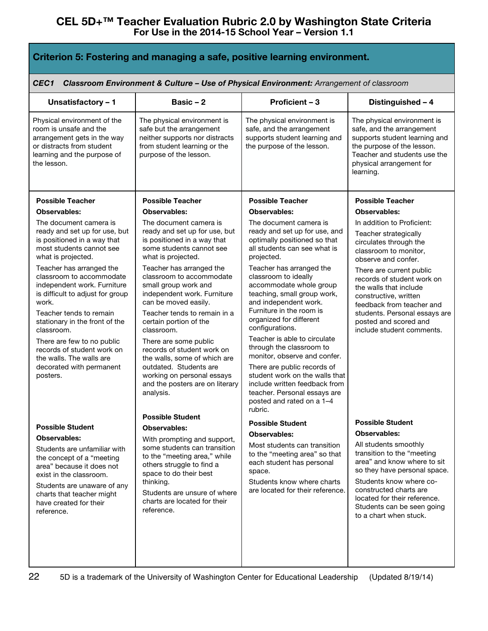| Criterion 5: Fostering and managing a safe, positive learning environment.                                                                                                                                                            |                                                                                                                                                                                                                                               |                                                                                                                                                                        |                                                                                                                                                                                                                                                                 |  |
|---------------------------------------------------------------------------------------------------------------------------------------------------------------------------------------------------------------------------------------|-----------------------------------------------------------------------------------------------------------------------------------------------------------------------------------------------------------------------------------------------|------------------------------------------------------------------------------------------------------------------------------------------------------------------------|-----------------------------------------------------------------------------------------------------------------------------------------------------------------------------------------------------------------------------------------------------------------|--|
| CEC <sub>1</sub>                                                                                                                                                                                                                      | Classroom Environment & Culture - Use of Physical Environment: Arrangement of classroom                                                                                                                                                       |                                                                                                                                                                        |                                                                                                                                                                                                                                                                 |  |
| Unsatisfactory - 1                                                                                                                                                                                                                    | Basic $-2$                                                                                                                                                                                                                                    | Proficient - 3                                                                                                                                                         | Distinguished - 4                                                                                                                                                                                                                                               |  |
| Physical environment of the<br>room is unsafe and the<br>arrangement gets in the way<br>or distracts from student<br>learning and the purpose of<br>the lesson.                                                                       | The physical environment is<br>safe but the arrangement<br>neither supports nor distracts<br>from student learning or the<br>purpose of the lesson.                                                                                           | The physical environment is<br>safe, and the arrangement<br>supports student learning and<br>the purpose of the lesson.                                                | The physical environment is<br>safe, and the arrangement<br>supports student learning and<br>the purpose of the lesson.<br>Teacher and students use the<br>physical arrangement for<br>learning.                                                                |  |
| <b>Possible Teacher</b>                                                                                                                                                                                                               | <b>Possible Teacher</b>                                                                                                                                                                                                                       | <b>Possible Teacher</b>                                                                                                                                                | <b>Possible Teacher</b>                                                                                                                                                                                                                                         |  |
| <b>Observables:</b>                                                                                                                                                                                                                   | <b>Observables:</b>                                                                                                                                                                                                                           | <b>Observables:</b>                                                                                                                                                    | <b>Observables:</b>                                                                                                                                                                                                                                             |  |
| The document camera is<br>ready and set up for use, but<br>is positioned in a way that<br>most students cannot see<br>what is projected.                                                                                              | The document camera is<br>ready and set up for use, but<br>is positioned in a way that<br>some students cannot see<br>what is projected.                                                                                                      | The document camera is<br>ready and set up for use, and<br>optimally positioned so that<br>all students can see what is<br>projected.                                  | In addition to Proficient:<br>Teacher strategically<br>circulates through the<br>classroom to monitor,<br>observe and confer.                                                                                                                                   |  |
| Teacher has arranged the<br>classroom to accommodate<br>independent work. Furniture<br>is difficult to adjust for group<br>work.                                                                                                      | Teacher has arranged the<br>classroom to accommodate<br>small group work and<br>independent work. Furniture<br>can be moved easily.<br>Teacher tends to remain in a                                                                           | Teacher has arranged the<br>classroom to ideally<br>accommodate whole group<br>teaching, small group work,<br>and independent work.<br>Furniture in the room is        | There are current public<br>records of student work on<br>the walls that include<br>constructive, written<br>feedback from teacher and                                                                                                                          |  |
| Teacher tends to remain<br>stationary in the front of the<br>classroom.                                                                                                                                                               | certain portion of the<br>classroom.                                                                                                                                                                                                          | organized for different<br>configurations.                                                                                                                             | students. Personal essays are<br>posted and scored and<br>include student comments.                                                                                                                                                                             |  |
| There are few to no public<br>records of student work on<br>the walls. The walls are                                                                                                                                                  | There are some public<br>records of student work on<br>the walls, some of which are                                                                                                                                                           | Teacher is able to circulate<br>through the classroom to<br>monitor, observe and confer.                                                                               |                                                                                                                                                                                                                                                                 |  |
| decorated with permanent<br>posters.                                                                                                                                                                                                  | outdated. Students are<br>working on personal essays<br>and the posters are on literary<br>analysis.                                                                                                                                          | There are public records of<br>student work on the walls that<br>include written feedback from<br>teacher. Personal essays are<br>posted and rated on a 1-4<br>rubric. |                                                                                                                                                                                                                                                                 |  |
|                                                                                                                                                                                                                                       | <b>Possible Student</b>                                                                                                                                                                                                                       | <b>Possible Student</b>                                                                                                                                                | <b>Possible Student</b>                                                                                                                                                                                                                                         |  |
| <b>Possible Student</b>                                                                                                                                                                                                               | <b>Observables:</b>                                                                                                                                                                                                                           | <b>Observables:</b>                                                                                                                                                    | <b>Observables:</b>                                                                                                                                                                                                                                             |  |
| Observables:<br>Students are unfamiliar with<br>the concept of a "meeting<br>area" because it does not<br>exist in the classroom.<br>Students are unaware of any<br>charts that teacher might<br>have created for their<br>reference. | With prompting and support,<br>some students can transition<br>to the "meeting area," while<br>others struggle to find a<br>space to do their best<br>thinking.<br>Students are unsure of where<br>charts are located for their<br>reference. | Most students can transition<br>to the "meeting area" so that<br>each student has personal<br>space.<br>Students know where charts<br>are located for their reference. | All students smoothly<br>transition to the "meeting<br>area" and know where to sit<br>so they have personal space.<br>Students know where co-<br>constructed charts are<br>located for their reference.<br>Students can be seen going<br>to a chart when stuck. |  |
|                                                                                                                                                                                                                                       |                                                                                                                                                                                                                                               |                                                                                                                                                                        |                                                                                                                                                                                                                                                                 |  |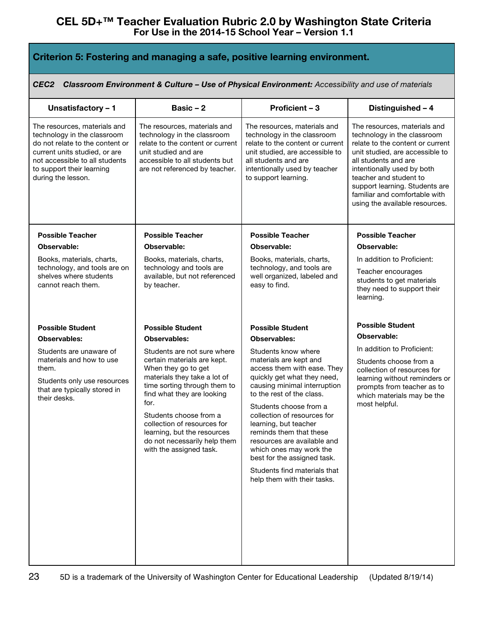| Criterion 5: Fostering and managing a safe, positive learning environment.                                                                                                                                           |                                                                                                                                                                                                                   |                                                                                                                                                                                                                                   |                                                                                                                                                                                                                                                                                                                         |  |
|----------------------------------------------------------------------------------------------------------------------------------------------------------------------------------------------------------------------|-------------------------------------------------------------------------------------------------------------------------------------------------------------------------------------------------------------------|-----------------------------------------------------------------------------------------------------------------------------------------------------------------------------------------------------------------------------------|-------------------------------------------------------------------------------------------------------------------------------------------------------------------------------------------------------------------------------------------------------------------------------------------------------------------------|--|
| CEC2                                                                                                                                                                                                                 | Classroom Environment & Culture - Use of Physical Environment: Accessibility and use of materials                                                                                                                 |                                                                                                                                                                                                                                   |                                                                                                                                                                                                                                                                                                                         |  |
| Unsatisfactory - 1                                                                                                                                                                                                   | Basic $-2$                                                                                                                                                                                                        | Proficient - 3                                                                                                                                                                                                                    | Distinguished - 4                                                                                                                                                                                                                                                                                                       |  |
| The resources, materials and<br>technology in the classroom<br>do not relate to the content or<br>current units studied, or are<br>not accessible to all students<br>to support their learning<br>during the lesson. | The resources, materials and<br>technology in the classroom<br>relate to the content or current<br>unit studied and are<br>accessible to all students but<br>are not referenced by teacher.                       | The resources, materials and<br>technology in the classroom<br>relate to the content or current<br>unit studied, are accessible to<br>all students and are<br>intentionally used by teacher<br>to support learning.               | The resources, materials and<br>technology in the classroom<br>relate to the content or current<br>unit studied, are accessible to<br>all students and are<br>intentionally used by both<br>teacher and student to<br>support learning. Students are<br>familiar and comfortable with<br>using the available resources. |  |
| <b>Possible Teacher</b>                                                                                                                                                                                              | <b>Possible Teacher</b>                                                                                                                                                                                           | <b>Possible Teacher</b>                                                                                                                                                                                                           | <b>Possible Teacher</b>                                                                                                                                                                                                                                                                                                 |  |
| Observable:                                                                                                                                                                                                          | Observable:                                                                                                                                                                                                       | Observable:                                                                                                                                                                                                                       | Observable:                                                                                                                                                                                                                                                                                                             |  |
| Books, materials, charts,<br>technology, and tools are on<br>shelves where students<br>cannot reach them.                                                                                                            | Books, materials, charts,<br>technology and tools are<br>available, but not referenced<br>by teacher.                                                                                                             | Books, materials, charts,<br>technology, and tools are<br>well organized, labeled and<br>easy to find.                                                                                                                            | In addition to Proficient:<br>Teacher encourages<br>students to get materials<br>they need to support their<br>learning.                                                                                                                                                                                                |  |
| <b>Possible Student</b>                                                                                                                                                                                              | <b>Possible Student</b>                                                                                                                                                                                           | <b>Possible Student</b>                                                                                                                                                                                                           | <b>Possible Student</b>                                                                                                                                                                                                                                                                                                 |  |
| <b>Observables:</b>                                                                                                                                                                                                  | <b>Observables:</b>                                                                                                                                                                                               | <b>Observables:</b>                                                                                                                                                                                                               | Observable:                                                                                                                                                                                                                                                                                                             |  |
| Students are unaware of<br>materials and how to use<br>them.<br>Students only use resources<br>that are typically stored in<br>their desks.                                                                          | Students are not sure where<br>certain materials are kept.<br>When they go to get<br>materials they take a lot of<br>time sorting through them to<br>find what they are looking<br>for.<br>Students choose from a | Students know where<br>materials are kept and<br>access them with ease. They<br>quickly get what they need,<br>causing minimal interruption<br>to the rest of the class.<br>Students choose from a<br>collection of resources for | In addition to Proficient:<br>Students choose from a<br>collection of resources for<br>learning without reminders or<br>prompts from teacher as to<br>which materials may be the<br>most helpful.                                                                                                                       |  |
|                                                                                                                                                                                                                      | collection of resources for<br>learning, but the resources<br>do not necessarily help them<br>with the assigned task.                                                                                             | learning, but teacher<br>reminds them that these<br>resources are available and<br>which ones may work the<br>best for the assigned task.                                                                                         |                                                                                                                                                                                                                                                                                                                         |  |
|                                                                                                                                                                                                                      |                                                                                                                                                                                                                   | Students find materials that<br>help them with their tasks.                                                                                                                                                                       |                                                                                                                                                                                                                                                                                                                         |  |
|                                                                                                                                                                                                                      |                                                                                                                                                                                                                   |                                                                                                                                                                                                                                   |                                                                                                                                                                                                                                                                                                                         |  |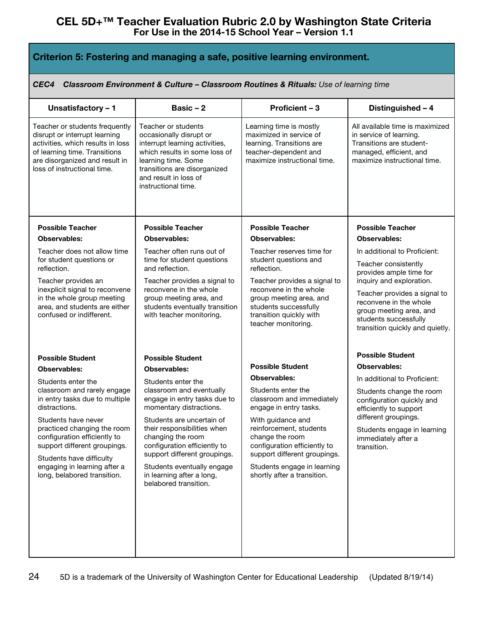| Criterion 5: Fostering and managing a safe, positive learning environment.                                                                                                                                                                                                                                                                                              |                                                                                                                                                                                                                                                                                                                                                                                                  |                                                                                                                                                                                                                                                                                                                              |                                                                                                                                                                                                                                                              |  |
|-------------------------------------------------------------------------------------------------------------------------------------------------------------------------------------------------------------------------------------------------------------------------------------------------------------------------------------------------------------------------|--------------------------------------------------------------------------------------------------------------------------------------------------------------------------------------------------------------------------------------------------------------------------------------------------------------------------------------------------------------------------------------------------|------------------------------------------------------------------------------------------------------------------------------------------------------------------------------------------------------------------------------------------------------------------------------------------------------------------------------|--------------------------------------------------------------------------------------------------------------------------------------------------------------------------------------------------------------------------------------------------------------|--|
| CEC4                                                                                                                                                                                                                                                                                                                                                                    |                                                                                                                                                                                                                                                                                                                                                                                                  | Classroom Environment & Culture - Classroom Routines & Rituals: Use of learning time                                                                                                                                                                                                                                         |                                                                                                                                                                                                                                                              |  |
| Unsatisfactory - 1                                                                                                                                                                                                                                                                                                                                                      | Basic $-2$                                                                                                                                                                                                                                                                                                                                                                                       | Proficient - 3                                                                                                                                                                                                                                                                                                               | Distinguished - 4                                                                                                                                                                                                                                            |  |
| Teacher or students frequently<br>disrupt or interrupt learning<br>activities, which results in loss<br>of learning time. Transitions<br>are disorganized and result in<br>loss of instructional time.                                                                                                                                                                  | Teacher or students<br>occasionally disrupt or<br>interrupt learning activities,<br>which results in some loss of<br>learning time. Some<br>transitions are disorganized<br>and result in loss of<br>instructional time.                                                                                                                                                                         | Learning time is mostly<br>maximized in service of<br>learning. Transitions are<br>teacher-dependent and<br>maximize instructional time.                                                                                                                                                                                     | All available time is maximized<br>in service of learning.<br>Transitions are student-<br>managed, efficient, and<br>maximize instructional time.                                                                                                            |  |
| <b>Possible Teacher</b><br>Observables:                                                                                                                                                                                                                                                                                                                                 | <b>Possible Teacher</b><br><b>Observables:</b>                                                                                                                                                                                                                                                                                                                                                   | <b>Possible Teacher</b><br>Observables:                                                                                                                                                                                                                                                                                      | <b>Possible Teacher</b><br>Observables:                                                                                                                                                                                                                      |  |
| Teacher does not allow time<br>for student questions or<br>reflection.<br>Teacher provides an<br>inexplicit signal to reconvene<br>in the whole group meeting<br>area, and students are either<br>confused or indifferent.                                                                                                                                              | Teacher often runs out of<br>time for student questions<br>and reflection.<br>Teacher provides a signal to<br>reconvene in the whole<br>group meeting area, and<br>students eventually transition<br>with teacher monitoring.                                                                                                                                                                    | Teacher reserves time for<br>student questions and<br>reflection.<br>Teacher provides a signal to<br>reconvene in the whole<br>group meeting area, and<br>students successfully<br>transition quickly with<br>teacher monitoring.                                                                                            | In additional to Proficient:<br>Teacher consistently<br>provides ample time for<br>inquiry and exploration.<br>Teacher provides a signal to<br>reconvene in the whole<br>group meeting area, and<br>students successfully<br>transition quickly and quietly. |  |
| <b>Possible Student</b><br><b>Observables:</b><br>Students enter the<br>classroom and rarely engage<br>in entry tasks due to multiple<br>distractions.<br>Students have never<br>practiced changing the room<br>configuration efficiently to<br>support different groupings.<br>Students have difficulty<br>engaging in learning after a<br>long, belabored transition. | <b>Possible Student</b><br><b>Observables:</b><br>Students enter the<br>classroom and eventually<br>engage in entry tasks due to<br>momentary distractions.<br>Students are uncertain of<br>their responsibilities when<br>changing the room<br>configuration efficiently to<br>support different groupings.<br>Students eventually engage<br>in learning after a long,<br>belabored transition. | <b>Possible Student</b><br><b>Observables:</b><br>Students enter the<br>classroom and immediately<br>engage in entry tasks.<br>With guidance and<br>reinforcement, students<br>change the room<br>configuration efficiently to<br>support different groupings.<br>Students engage in learning<br>shortly after a transition. | <b>Possible Student</b><br>Observables:<br>In additional to Proficient:<br>Students change the room<br>configuration guickly and<br>efficiently to support<br>different groupings.<br>Students engage in learning<br>immediately after a<br>transition.      |  |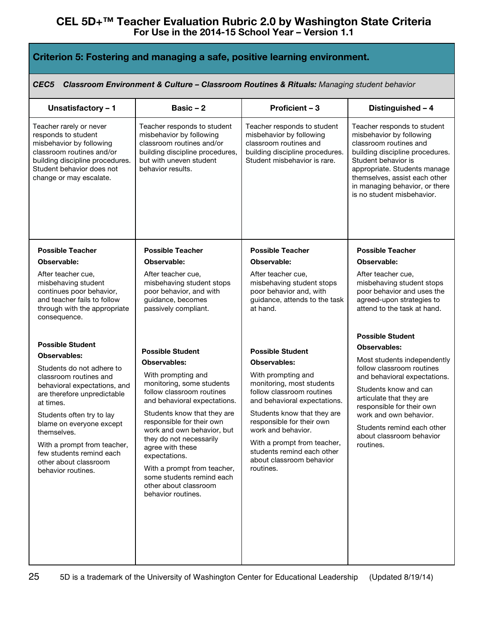| Criterion 5: Fostering and managing a safe, positive learning environment.                                                                                                                         |                                                                                                                                                                         |                                                                                                                                                      |                                                                                                                                                                                                                                                                              |
|----------------------------------------------------------------------------------------------------------------------------------------------------------------------------------------------------|-------------------------------------------------------------------------------------------------------------------------------------------------------------------------|------------------------------------------------------------------------------------------------------------------------------------------------------|------------------------------------------------------------------------------------------------------------------------------------------------------------------------------------------------------------------------------------------------------------------------------|
| CEC <sub>5</sub>                                                                                                                                                                                   |                                                                                                                                                                         | Classroom Environment & Culture - Classroom Routines & Rituals: Managing student behavior                                                            |                                                                                                                                                                                                                                                                              |
| Unsatisfactory - 1                                                                                                                                                                                 | Basic $-2$                                                                                                                                                              | Proficient - 3                                                                                                                                       | Distinguished - 4                                                                                                                                                                                                                                                            |
| Teacher rarely or never<br>responds to student<br>misbehavior by following<br>classroom routines and/or<br>building discipline procedures.<br>Student behavior does not<br>change or may escalate. | Teacher responds to student<br>misbehavior by following<br>classroom routines and/or<br>building discipline procedures,<br>but with uneven student<br>behavior results. | Teacher responds to student<br>misbehavior by following<br>classroom routines and<br>building discipline procedures.<br>Student misbehavior is rare. | Teacher responds to student<br>misbehavior by following<br>classroom routines and<br>building discipline procedures.<br>Student behavior is<br>appropriate. Students manage<br>themselves, assist each other<br>in managing behavior, or there<br>is no student misbehavior. |
| <b>Possible Teacher</b>                                                                                                                                                                            | <b>Possible Teacher</b>                                                                                                                                                 | <b>Possible Teacher</b>                                                                                                                              | <b>Possible Teacher</b>                                                                                                                                                                                                                                                      |
| Observable:                                                                                                                                                                                        | Observable:                                                                                                                                                             | Observable:                                                                                                                                          | Observable:                                                                                                                                                                                                                                                                  |
| After teacher cue,<br>misbehaving student<br>continues poor behavior,<br>and teacher fails to follow<br>through with the appropriate<br>consequence.                                               | After teacher cue,<br>misbehaving student stops<br>poor behavior, and with<br>guidance, becomes<br>passively compliant.                                                 | After teacher cue,<br>misbehaving student stops<br>poor behavior and, with<br>guidance, attends to the task<br>at hand.                              | After teacher cue,<br>misbehaving student stops<br>poor behavior and uses the<br>agreed-upon strategies to<br>attend to the task at hand.                                                                                                                                    |
| <b>Possible Student</b>                                                                                                                                                                            |                                                                                                                                                                         |                                                                                                                                                      | <b>Possible Student</b>                                                                                                                                                                                                                                                      |
| <b>Observables:</b>                                                                                                                                                                                | <b>Possible Student</b>                                                                                                                                                 | <b>Possible Student</b>                                                                                                                              | <b>Observables:</b>                                                                                                                                                                                                                                                          |
|                                                                                                                                                                                                    | <b>Observables:</b>                                                                                                                                                     | <b>Observables:</b>                                                                                                                                  | Most students independently<br>follow classroom routines                                                                                                                                                                                                                     |
| Students do not adhere to<br>classroom routines and                                                                                                                                                | With prompting and                                                                                                                                                      | With prompting and                                                                                                                                   | and behavioral expectations.                                                                                                                                                                                                                                                 |
| behavioral expectations, and                                                                                                                                                                       | monitoring, some students                                                                                                                                               | monitoring, most students                                                                                                                            | Students know and can                                                                                                                                                                                                                                                        |
| are therefore unpredictable<br>at times.                                                                                                                                                           | follow classroom routines<br>and behavioral expectations.                                                                                                               | follow classroom routines<br>and behavioral expectations.                                                                                            | articulate that they are                                                                                                                                                                                                                                                     |
| Students often try to lay                                                                                                                                                                          | Students know that they are                                                                                                                                             | Students know that they are                                                                                                                          | responsible for their own<br>work and own behavior.                                                                                                                                                                                                                          |
| blame on everyone except                                                                                                                                                                           | responsible for their own                                                                                                                                               | responsible for their own                                                                                                                            | Students remind each other                                                                                                                                                                                                                                                   |
| themselves.                                                                                                                                                                                        | work and own behavior, but<br>they do not necessarily                                                                                                                   | work and behavior.                                                                                                                                   | about classroom behavior                                                                                                                                                                                                                                                     |
| With a prompt from teacher,<br>few students remind each                                                                                                                                            | agree with these                                                                                                                                                        | With a prompt from teacher,<br>students remind each other                                                                                            | routines.                                                                                                                                                                                                                                                                    |
| other about classroom                                                                                                                                                                              | expectations.                                                                                                                                                           | about classroom behavior                                                                                                                             |                                                                                                                                                                                                                                                                              |
| behavior routines.                                                                                                                                                                                 | With a prompt from teacher,<br>some students remind each                                                                                                                | routines.                                                                                                                                            |                                                                                                                                                                                                                                                                              |
|                                                                                                                                                                                                    | other about classroom                                                                                                                                                   |                                                                                                                                                      |                                                                                                                                                                                                                                                                              |
|                                                                                                                                                                                                    | behavior routines.                                                                                                                                                      |                                                                                                                                                      |                                                                                                                                                                                                                                                                              |
|                                                                                                                                                                                                    |                                                                                                                                                                         |                                                                                                                                                      |                                                                                                                                                                                                                                                                              |
|                                                                                                                                                                                                    |                                                                                                                                                                         |                                                                                                                                                      |                                                                                                                                                                                                                                                                              |
|                                                                                                                                                                                                    |                                                                                                                                                                         |                                                                                                                                                      |                                                                                                                                                                                                                                                                              |
|                                                                                                                                                                                                    |                                                                                                                                                                         |                                                                                                                                                      |                                                                                                                                                                                                                                                                              |
|                                                                                                                                                                                                    |                                                                                                                                                                         |                                                                                                                                                      |                                                                                                                                                                                                                                                                              |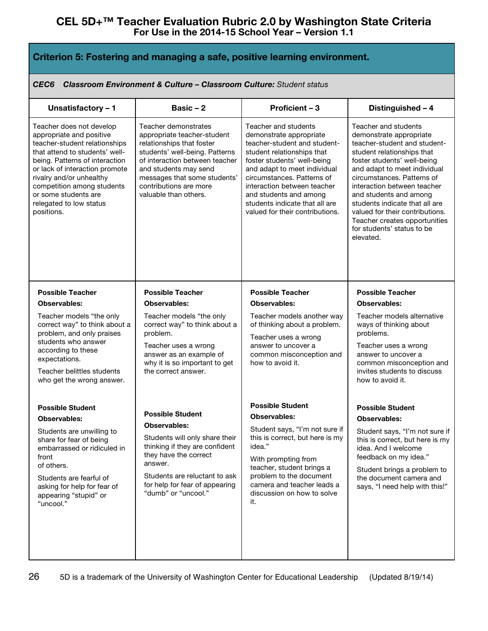| Criterion 5: Fostering and managing a safe, positive learning environment. |  |  |  |
|----------------------------------------------------------------------------|--|--|--|

*CEC6 Classroom Environment & Culture – Classroom Culture: Student status*

| Unsatisfactory - 1                                                                                                                                                                                                                                                                                                     | Basic $-2$                                                                                                                                                                                                                                                       | Proficient - 3                                                                                                                                                                                                                                                                                                                           | Distinguished - 4                                                                                                                                                                                                                                                                                                                                                                                                    |
|------------------------------------------------------------------------------------------------------------------------------------------------------------------------------------------------------------------------------------------------------------------------------------------------------------------------|------------------------------------------------------------------------------------------------------------------------------------------------------------------------------------------------------------------------------------------------------------------|------------------------------------------------------------------------------------------------------------------------------------------------------------------------------------------------------------------------------------------------------------------------------------------------------------------------------------------|----------------------------------------------------------------------------------------------------------------------------------------------------------------------------------------------------------------------------------------------------------------------------------------------------------------------------------------------------------------------------------------------------------------------|
| Teacher does not develop<br>appropriate and positive<br>teacher-student relationships<br>that attend to students' well-<br>being. Patterns of interaction<br>or lack of interaction promote<br>rivalry and/or unhealthy<br>competition among students<br>or some students are<br>relegated to low status<br>positions. | Teacher demonstrates<br>appropriate teacher-student<br>relationships that foster<br>students' well-being. Patterns<br>of interaction between teacher<br>and students may send<br>messages that some students'<br>contributions are more<br>valuable than others. | Teacher and students<br>demonstrate appropriate<br>teacher-student and student-<br>student relationships that<br>foster students' well-being<br>and adapt to meet individual<br>circumstances. Patterns of<br>interaction between teacher<br>and students and among<br>students indicate that all are<br>valued for their contributions. | Teacher and students<br>demonstrate appropriate<br>teacher-student and student-<br>student relationships that<br>foster students' well-being<br>and adapt to meet individual<br>circumstances. Patterns of<br>interaction between teacher<br>and students and among<br>students indicate that all are<br>valued for their contributions.<br>Teacher creates opportunities<br>for students' status to be<br>elevated. |
| <b>Possible Teacher</b><br><b>Observables:</b><br>Teacher models "the only<br>correct way" to think about a<br>problem, and only praises<br>students who answer<br>according to these<br>expectations.<br>Teacher belittles students<br>who get the wrong answer.                                                      | <b>Possible Teacher</b><br><b>Observables:</b><br>Teacher models "the only<br>correct way" to think about a<br>problem.<br>Teacher uses a wrong<br>answer as an example of<br>why it is so important to get<br>the correct answer.                               | <b>Possible Teacher</b><br><b>Observables:</b><br>Teacher models another way<br>of thinking about a problem.<br>Teacher uses a wrong<br>answer to uncover a<br>common misconception and<br>how to avoid it.                                                                                                                              | <b>Possible Teacher</b><br><b>Observables:</b><br>Teacher models alternative<br>ways of thinking about<br>problems.<br>Teacher uses a wrong<br>answer to uncover a<br>common misconception and<br>invites students to discuss<br>how to avoid it.                                                                                                                                                                    |
| <b>Possible Student</b><br><b>Observables:</b><br>Students are unwilling to<br>share for fear of being<br>embarrassed or ridiculed in<br>front<br>of others.<br>Students are fearful of<br>asking for help for fear of<br>appearing "stupid" or<br>"uncool."                                                           | <b>Possible Student</b><br>Observables:<br>Students will only share their<br>thinking if they are confident<br>they have the correct<br>answer.<br>Students are reluctant to ask<br>for help for fear of appearing<br>"dumb" or "uncool."                        | <b>Possible Student</b><br><b>Observables:</b><br>Student says, "I'm not sure if<br>this is correct, but here is my<br>idea."<br>With prompting from<br>teacher, student brings a<br>problem to the document<br>camera and teacher leads a<br>discussion on how to solve<br>it.                                                          | <b>Possible Student</b><br><b>Observables:</b><br>Student says, "I'm not sure if<br>this is correct, but here is my<br>idea. And I welcome<br>feedback on my idea."<br>Student brings a problem to<br>the document camera and<br>says, "I need help with this!"                                                                                                                                                      |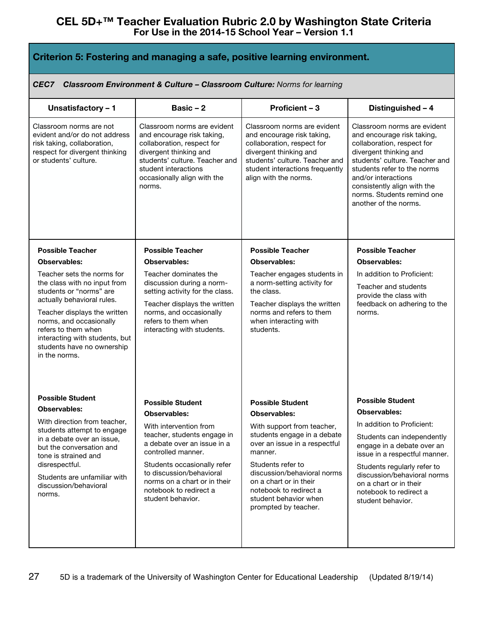| Criterion 5: Fostering and managing a safe, positive learning environment.                                                                          |                                                                                                                                                                                                                      |                                                                                                                                                                                                                 |                                                                                                                                                                                                                                                                                                 |
|-----------------------------------------------------------------------------------------------------------------------------------------------------|----------------------------------------------------------------------------------------------------------------------------------------------------------------------------------------------------------------------|-----------------------------------------------------------------------------------------------------------------------------------------------------------------------------------------------------------------|-------------------------------------------------------------------------------------------------------------------------------------------------------------------------------------------------------------------------------------------------------------------------------------------------|
| CEC7                                                                                                                                                | <b>Classroom Environment &amp; Culture - Classroom Culture: Norms for learning</b>                                                                                                                                   |                                                                                                                                                                                                                 |                                                                                                                                                                                                                                                                                                 |
| Unsatisfactory - 1                                                                                                                                  | Basic $-2$                                                                                                                                                                                                           | Proficient - 3                                                                                                                                                                                                  | Distinguished - 4                                                                                                                                                                                                                                                                               |
| Classroom norms are not<br>evident and/or do not address<br>risk taking, collaboration,<br>respect for divergent thinking<br>or students' culture.  | Classroom norms are evident<br>and encourage risk taking,<br>collaboration, respect for<br>divergent thinking and<br>students' culture. Teacher and<br>student interactions<br>occasionally align with the<br>norms. | Classroom norms are evident<br>and encourage risk taking,<br>collaboration, respect for<br>divergent thinking and<br>students' culture. Teacher and<br>student interactions frequently<br>align with the norms. | Classroom norms are evident<br>and encourage risk taking,<br>collaboration, respect for<br>divergent thinking and<br>students' culture. Teacher and<br>students refer to the norms<br>and/or interactions<br>consistently align with the<br>norms. Students remind one<br>another of the norms. |
| <b>Possible Teacher</b>                                                                                                                             | <b>Possible Teacher</b>                                                                                                                                                                                              | <b>Possible Teacher</b>                                                                                                                                                                                         | <b>Possible Teacher</b>                                                                                                                                                                                                                                                                         |
| Teacher sets the norms for<br>the class with no input from<br>students or "norms" are<br>actually behavioral rules.<br>Teacher displays the written | Teacher dominates the<br>discussion during a norm-<br>setting activity for the class.<br>Teacher displays the written<br>norms, and occasionally                                                                     | Teacher engages students in<br>a norm-setting activity for<br>the class.<br>Teacher displays the written<br>norms and refers to them                                                                            | In addition to Proficient:<br>Teacher and students<br>provide the class with<br>feedback on adhering to the<br>norms.                                                                                                                                                                           |
| norms, and occasionally<br>refers to them when<br>interacting with students, but<br>students have no ownership<br>in the norms.                     | refers to them when<br>interacting with students.                                                                                                                                                                    | when interacting with<br>students.                                                                                                                                                                              |                                                                                                                                                                                                                                                                                                 |
| <b>Possible Student</b>                                                                                                                             | <b>Possible Student</b>                                                                                                                                                                                              | <b>Possible Student</b>                                                                                                                                                                                         | <b>Possible Student</b>                                                                                                                                                                                                                                                                         |
| <b>Observables:</b>                                                                                                                                 | <b>Observables:</b>                                                                                                                                                                                                  | <b>Observables:</b>                                                                                                                                                                                             | <b>Observables:</b>                                                                                                                                                                                                                                                                             |
| With direction from teacher,<br>students attempt to engage                                                                                          | With intervention from                                                                                                                                                                                               | With support from teacher,<br>students engage in a debate                                                                                                                                                       | In addition to Proficient:                                                                                                                                                                                                                                                                      |
| in a debate over an issue,<br>but the conversation and<br>tone is strained and                                                                      | teacher, students engage in<br>a debate over an issue in a<br>controlled manner.                                                                                                                                     | over an issue in a respectful<br>manner.                                                                                                                                                                        | Students can independently<br>engage in a debate over an<br>issue in a respectful manner.                                                                                                                                                                                                       |
| disrespectful.<br>Students are unfamiliar with<br>discussion/behavioral<br>norms.                                                                   | Students occasionally refer<br>to discussion/behavioral<br>norms on a chart or in their<br>notebook to redirect a<br>student behavior.                                                                               | Students refer to<br>discussion/behavioral norms<br>on a chart or in their<br>notebook to redirect a<br>student behavior when<br>prompted by teacher.                                                           | Students regularly refer to<br>discussion/behavioral norms<br>on a chart or in their<br>notebook to redirect a<br>student behavior.                                                                                                                                                             |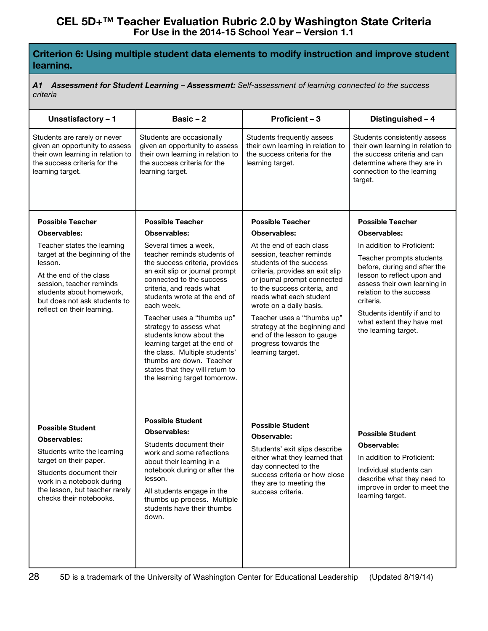## **Criterion 6: Using multiple student data elements to modify instruction and improve student learning.**

*A1 Assessment for Student Learning – Assessment: Self-assessment of learning connected to the success criteria*

| Unsatisfactory - 1                                                                                                                                                                                                           | Basic $-2$                                                                                                                                                                                                                                                                         | Proficient - 3                                                                                                                                                                                                    | Distinguished - 4                                                                                                                                                                 |
|------------------------------------------------------------------------------------------------------------------------------------------------------------------------------------------------------------------------------|------------------------------------------------------------------------------------------------------------------------------------------------------------------------------------------------------------------------------------------------------------------------------------|-------------------------------------------------------------------------------------------------------------------------------------------------------------------------------------------------------------------|-----------------------------------------------------------------------------------------------------------------------------------------------------------------------------------|
| Students are rarely or never<br>given an opportunity to assess<br>their own learning in relation to<br>the success criteria for the<br>learning target.                                                                      | Students are occasionally<br>given an opportunity to assess<br>their own learning in relation to<br>the success criteria for the<br>learning target.                                                                                                                               | Students frequently assess<br>their own learning in relation to<br>the success criteria for the<br>learning target.                                                                                               | Students consistently assess<br>their own learning in relation to<br>the success criteria and can<br>determine where they are in<br>connection to the learning<br>target.         |
| <b>Possible Teacher</b>                                                                                                                                                                                                      | <b>Possible Teacher</b>                                                                                                                                                                                                                                                            | <b>Possible Teacher</b>                                                                                                                                                                                           | <b>Possible Teacher</b>                                                                                                                                                           |
| Observables:                                                                                                                                                                                                                 | <b>Observables:</b>                                                                                                                                                                                                                                                                | Observables:                                                                                                                                                                                                      | Observables:                                                                                                                                                                      |
| Teacher states the learning                                                                                                                                                                                                  | Several times a week,                                                                                                                                                                                                                                                              | At the end of each class                                                                                                                                                                                          | In addition to Proficient:                                                                                                                                                        |
| target at the beginning of the                                                                                                                                                                                               | teacher reminds students of                                                                                                                                                                                                                                                        | session, teacher reminds                                                                                                                                                                                          | Teacher prompts students                                                                                                                                                          |
| lesson.<br>At the end of the class<br>session, teacher reminds<br>students about homework.<br>but does not ask students to                                                                                                   | the success criteria, provides<br>an exit slip or journal prompt<br>connected to the success<br>criteria, and reads what<br>students wrote at the end of<br>each week.                                                                                                             | students of the success<br>criteria, provides an exit slip<br>or journal prompt connected<br>to the success criteria, and<br>reads what each student<br>wrote on a daily basis.                                   | before, during and after the<br>lesson to reflect upon and<br>assess their own learning in<br>relation to the success<br>criteria.                                                |
| reflect on their learning.                                                                                                                                                                                                   | Teacher uses a "thumbs up"<br>strategy to assess what<br>students know about the<br>learning target at the end of<br>the class. Multiple students'<br>thumbs are down. Teacher<br>states that they will return to<br>the learning target tomorrow.                                 | Teacher uses a "thumbs up"<br>strategy at the beginning and<br>end of the lesson to gauge<br>progress towards the<br>learning target.                                                                             | Students identify if and to<br>what extent they have met<br>the learning target.                                                                                                  |
| <b>Possible Student</b><br><b>Observables:</b><br>Students write the learning<br>target on their paper.<br>Students document their<br>work in a notebook during<br>the lesson, but teacher rarely<br>checks their notebooks. | <b>Possible Student</b><br><b>Observables:</b><br>Students document their<br>work and some reflections<br>about their learning in a<br>notebook during or after the<br>lesson.<br>All students engage in the<br>thumbs up process. Multiple<br>students have their thumbs<br>down. | <b>Possible Student</b><br>Observable:<br>Students' exit slips describe<br>either what they learned that<br>day connected to the<br>success criteria or how close<br>they are to meeting the<br>success criteria. | <b>Possible Student</b><br>Observable:<br>In addition to Proficient:<br>Individual students can<br>describe what they need to<br>improve in order to meet the<br>learning target. |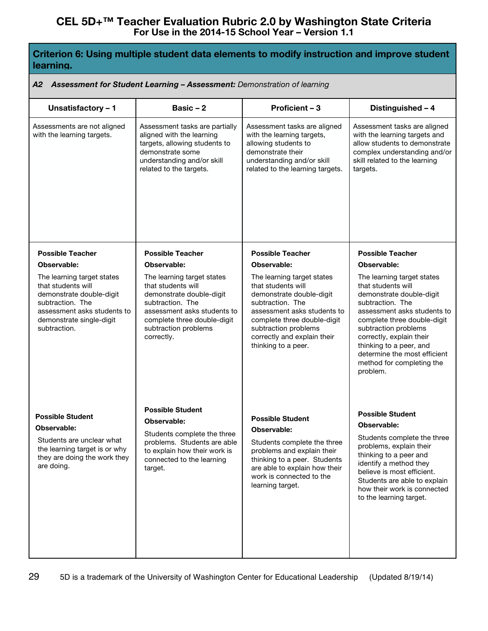## **Criterion 6: Using multiple student data elements to modify instruction and improve student learning.**

#### *A2 Assessment for Student Learning – Assessment: Demonstration of learning*

| Unsatisfactory - 1                                                                                                                                                          | Basic $-2$                                                                                                                                                                                           | Proficient - 3                                                                                                                                                                                                                               | Distinguished - 4                                                                                                                                                                                                                                                                                                      |
|-----------------------------------------------------------------------------------------------------------------------------------------------------------------------------|------------------------------------------------------------------------------------------------------------------------------------------------------------------------------------------------------|----------------------------------------------------------------------------------------------------------------------------------------------------------------------------------------------------------------------------------------------|------------------------------------------------------------------------------------------------------------------------------------------------------------------------------------------------------------------------------------------------------------------------------------------------------------------------|
| Assessments are not aligned<br>with the learning targets.                                                                                                                   | Assessment tasks are partially<br>aligned with the learning<br>targets, allowing students to<br>demonstrate some<br>understanding and/or skill<br>related to the targets.                            | Assessment tasks are aligned<br>with the learning targets,<br>allowing students to<br>demonstrate their<br>understanding and/or skill<br>related to the learning targets.                                                                    | Assessment tasks are aligned<br>with the learning targets and<br>allow students to demonstrate<br>complex understanding and/or<br>skill related to the learning<br>targets.                                                                                                                                            |
| <b>Possible Teacher</b><br>Observable:                                                                                                                                      | <b>Possible Teacher</b><br>Observable:                                                                                                                                                               | <b>Possible Teacher</b><br><b>Observable:</b>                                                                                                                                                                                                | <b>Possible Teacher</b><br>Observable:                                                                                                                                                                                                                                                                                 |
| The learning target states<br>that students will<br>demonstrate double-digit<br>subtraction. The<br>assessment asks students to<br>demonstrate single-digit<br>subtraction. | The learning target states<br>that students will<br>demonstrate double-digit<br>subtraction. The<br>assessment asks students to<br>complete three double-digit<br>subtraction problems<br>correctly. | The learning target states<br>that students will<br>demonstrate double-digit<br>subtraction. The<br>assessment asks students to<br>complete three double-digit<br>subtraction problems<br>correctly and explain their<br>thinking to a peer. | The learning target states<br>that students will<br>demonstrate double-digit<br>subtraction. The<br>assessment asks students to<br>complete three double-digit<br>subtraction problems<br>correctly, explain their<br>thinking to a peer, and<br>determine the most efficient<br>method for completing the<br>problem. |
| <b>Possible Student</b><br>Observable:<br>Students are unclear what<br>the learning target is or why<br>they are doing the work they<br>are doing.                          | <b>Possible Student</b><br>Observable:<br>Students complete the three<br>problems. Students are able<br>to explain how their work is<br>connected to the learning<br>target.                         | <b>Possible Student</b><br>Observable:<br>Students complete the three<br>problems and explain their<br>thinking to a peer. Students<br>are able to explain how their<br>work is connected to the<br>learning target.                         | <b>Possible Student</b><br>Observable:<br>Students complete the three<br>problems, explain their<br>thinking to a peer and<br>identify a method they<br>believe is most efficient.<br>Students are able to explain<br>how their work is connected<br>to the learning target.                                           |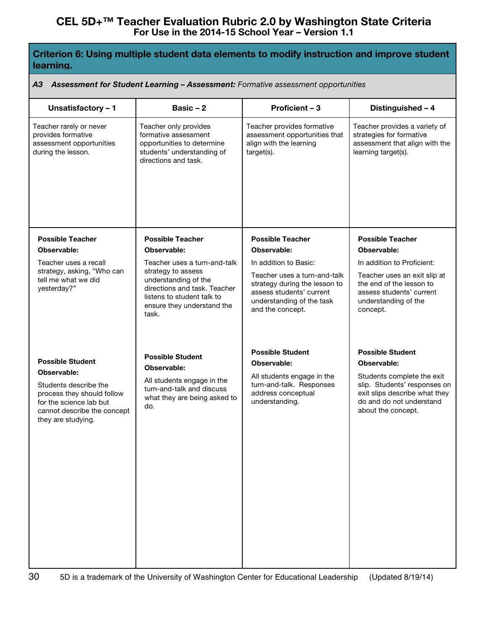## **Criterion 6: Using multiple student data elements to modify instruction and improve student learning.**

#### *A3 Assessment for Student Learning – Assessment: Formative assessment opportunities*

| Unsatisfactory - 1                                                                                                                  | Basic $-2$                                                                                                                                                                      | Proficient - 3                                                                                                                                                      | Distinguished - 4                                                                                                                                      |
|-------------------------------------------------------------------------------------------------------------------------------------|---------------------------------------------------------------------------------------------------------------------------------------------------------------------------------|---------------------------------------------------------------------------------------------------------------------------------------------------------------------|--------------------------------------------------------------------------------------------------------------------------------------------------------|
| Teacher rarely or never<br>provides formative<br>assessment opportunities<br>during the lesson.                                     | Teacher only provides<br>formative assessment<br>opportunities to determine<br>students' understanding of<br>directions and task.                                               | Teacher provides formative<br>assessment opportunities that<br>align with the learning<br>target(s).                                                                | Teacher provides a variety of<br>strategies for formative<br>assessment that align with the<br>learning target(s).                                     |
| <b>Possible Teacher</b>                                                                                                             | <b>Possible Teacher</b>                                                                                                                                                         | <b>Possible Teacher</b>                                                                                                                                             | <b>Possible Teacher</b>                                                                                                                                |
| Observable:                                                                                                                         | Observable:                                                                                                                                                                     | Observable:                                                                                                                                                         | Observable:                                                                                                                                            |
| Teacher uses a recall<br>strategy, asking, "Who can<br>tell me what we did<br>yesterday?"                                           | Teacher uses a turn-and-talk<br>strategy to assess<br>understanding of the<br>directions and task. Teacher<br>listens to student talk to<br>ensure they understand the<br>task. | In addition to Basic:<br>Teacher uses a turn-and-talk<br>strategy during the lesson to<br>assess students' current<br>understanding of the task<br>and the concept. | In addition to Proficient:<br>Teacher uses an exit slip at<br>the end of the lesson to<br>assess students' current<br>understanding of the<br>concept. |
|                                                                                                                                     | <b>Possible Student</b>                                                                                                                                                         | <b>Possible Student</b>                                                                                                                                             | <b>Possible Student</b>                                                                                                                                |
| <b>Possible Student</b><br>Observable:                                                                                              | Observable:                                                                                                                                                                     | Observable:                                                                                                                                                         | Observable:                                                                                                                                            |
| Students describe the<br>process they should follow<br>for the science lab but<br>cannot describe the concept<br>they are studying. | All students engage in the<br>turn-and-talk and discuss<br>what they are being asked to<br>do.                                                                                  | All students engage in the<br>turn-and-talk. Responses<br>address conceptual<br>understanding.                                                                      | Students complete the exit<br>slip. Students' responses on<br>exit slips describe what they<br>do and do not understand<br>about the concept.          |
|                                                                                                                                     |                                                                                                                                                                                 |                                                                                                                                                                     |                                                                                                                                                        |
|                                                                                                                                     |                                                                                                                                                                                 |                                                                                                                                                                     |                                                                                                                                                        |
|                                                                                                                                     |                                                                                                                                                                                 |                                                                                                                                                                     |                                                                                                                                                        |
|                                                                                                                                     |                                                                                                                                                                                 |                                                                                                                                                                     |                                                                                                                                                        |
|                                                                                                                                     |                                                                                                                                                                                 |                                                                                                                                                                     |                                                                                                                                                        |
|                                                                                                                                     |                                                                                                                                                                                 |                                                                                                                                                                     |                                                                                                                                                        |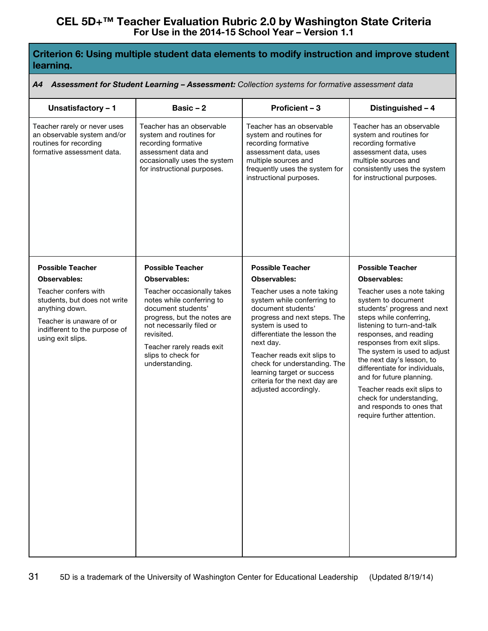## **Criterion 6: Using multiple student data elements to modify instruction and improve student learning.**

#### *A4 Assessment for Student Learning – Assessment: Collection systems for formative assessment data*

| Unsatisfactory - 1                                                                                                                                       | Basic $-2$                                                                                                                                                                                                                  | Proficient - 3                                                                                                                                                                                                                                                                                                                          | Distinguished - 4                                                                                                                                                                                                                                                                                                                                                                                                                                 |
|----------------------------------------------------------------------------------------------------------------------------------------------------------|-----------------------------------------------------------------------------------------------------------------------------------------------------------------------------------------------------------------------------|-----------------------------------------------------------------------------------------------------------------------------------------------------------------------------------------------------------------------------------------------------------------------------------------------------------------------------------------|---------------------------------------------------------------------------------------------------------------------------------------------------------------------------------------------------------------------------------------------------------------------------------------------------------------------------------------------------------------------------------------------------------------------------------------------------|
| Teacher rarely or never uses<br>an observable system and/or<br>routines for recording<br>formative assessment data.                                      | Teacher has an observable<br>system and routines for<br>recording formative<br>assessment data and<br>occasionally uses the system<br>for instructional purposes.                                                           | Teacher has an observable<br>system and routines for<br>recording formative<br>assessment data, uses<br>multiple sources and<br>frequently uses the system for<br>instructional purposes.                                                                                                                                               | Teacher has an observable<br>system and routines for<br>recording formative<br>assessment data, uses<br>multiple sources and<br>consistently uses the system<br>for instructional purposes.                                                                                                                                                                                                                                                       |
| <b>Possible Teacher</b>                                                                                                                                  | <b>Possible Teacher</b>                                                                                                                                                                                                     | <b>Possible Teacher</b>                                                                                                                                                                                                                                                                                                                 | <b>Possible Teacher</b>                                                                                                                                                                                                                                                                                                                                                                                                                           |
| Observables:                                                                                                                                             | <b>Observables:</b>                                                                                                                                                                                                         | <b>Observables:</b>                                                                                                                                                                                                                                                                                                                     | <b>Observables:</b>                                                                                                                                                                                                                                                                                                                                                                                                                               |
| Teacher confers with<br>students, but does not write<br>anything down.<br>Teacher is unaware of or<br>indifferent to the purpose of<br>using exit slips. | Teacher occasionally takes<br>notes while conferring to<br>document students'<br>progress, but the notes are<br>not necessarily filed or<br>revisited.<br>Teacher rarely reads exit<br>slips to check for<br>understanding. | Teacher uses a note taking<br>system while conferring to<br>document students'<br>progress and next steps. The<br>system is used to<br>differentiate the lesson the<br>next day.<br>Teacher reads exit slips to<br>check for understanding. The<br>learning target or success<br>criteria for the next day are<br>adjusted accordingly. | Teacher uses a note taking<br>system to document<br>students' progress and next<br>steps while conferring,<br>listening to turn-and-talk<br>responses, and reading<br>responses from exit slips.<br>The system is used to adjust<br>the next day's lesson, to<br>differentiate for individuals,<br>and for future planning.<br>Teacher reads exit slips to<br>check for understanding,<br>and responds to ones that<br>require further attention. |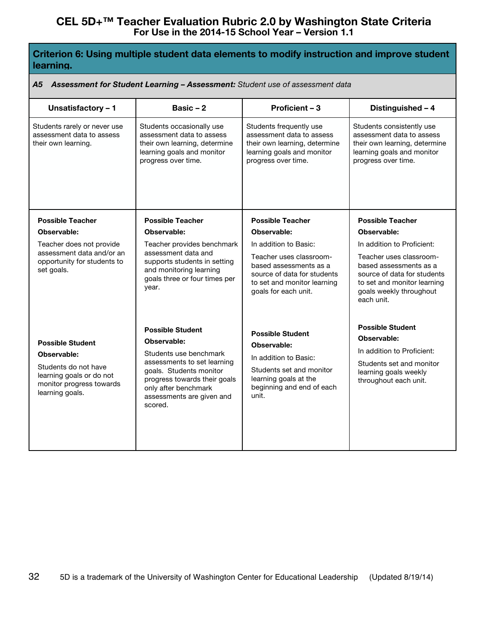## **Criterion 6: Using multiple student data elements to modify instruction and improve student learning.**

#### *A5 Assessment for Student Learning – Assessment: Student use of assessment data*

| Unsatisfactory - 1                                                                                                                        | Basic $-2$                                                                                                                                                                                                                 | Proficient - 3                                                                                                                                                   | Distinguished - 4                                                                                                                                                                      |
|-------------------------------------------------------------------------------------------------------------------------------------------|----------------------------------------------------------------------------------------------------------------------------------------------------------------------------------------------------------------------------|------------------------------------------------------------------------------------------------------------------------------------------------------------------|----------------------------------------------------------------------------------------------------------------------------------------------------------------------------------------|
| Students rarely or never use<br>assessment data to assess<br>their own learning.                                                          | Students occasionally use<br>assessment data to assess<br>their own learning, determine<br>learning goals and monitor<br>progress over time.                                                                               | Students frequently use<br>assessment data to assess<br>their own learning, determine<br>learning goals and monitor<br>progress over time.                       | Students consistently use<br>assessment data to assess<br>their own learning, determine<br>learning goals and monitor<br>progress over time.                                           |
| <b>Possible Teacher</b>                                                                                                                   | <b>Possible Teacher</b>                                                                                                                                                                                                    | <b>Possible Teacher</b>                                                                                                                                          | <b>Possible Teacher</b>                                                                                                                                                                |
| Observable:                                                                                                                               | Observable:                                                                                                                                                                                                                | Observable:                                                                                                                                                      | Observable:                                                                                                                                                                            |
| Teacher does not provide<br>assessment data and/or an<br>opportunity for students to<br>set goals.                                        | Teacher provides benchmark<br>assessment data and<br>supports students in setting<br>and monitoring learning<br>goals three or four times per<br>year.                                                                     | In addition to Basic:<br>Teacher uses classroom-<br>based assessments as a<br>source of data for students<br>to set and monitor learning<br>goals for each unit. | In addition to Proficient:<br>Teacher uses classroom-<br>based assessments as a<br>source of data for students<br>to set and monitor learning<br>goals weekly throughout<br>each unit. |
| <b>Possible Student</b><br>Observable:<br>Students do not have<br>learning goals or do not<br>monitor progress towards<br>learning goals. | <b>Possible Student</b><br>Observable:<br>Students use benchmark<br>assessments to set learning<br>goals. Students monitor<br>progress towards their goals<br>only after benchmark<br>assessments are given and<br>scored. | <b>Possible Student</b><br>Observable:<br>In addition to Basic:<br>Students set and monitor<br>learning goals at the<br>beginning and end of each<br>unit.       | <b>Possible Student</b><br>Observable:<br>In addition to Proficient:<br>Students set and monitor<br>learning goals weekly<br>throughout each unit.                                     |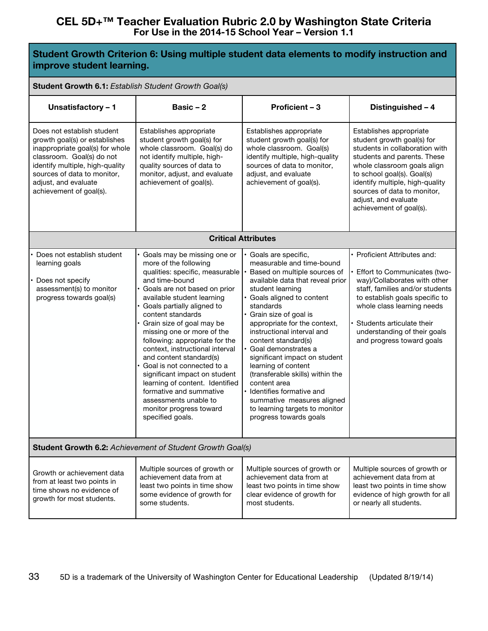### **Student Growth Criterion 6: Using multiple student data elements to modify instruction and improve student learning.**

#### **Student Growth 6.1:** *Establish Student Growth Goal(s)*

| Unsatisfactory - 1                                                                                                                                                                                                                               | Basic $-2$                                                                                                                                                                                                                                                                                                                                                                                                                                                                                                                                                                                 | Proficient - 3                                                                                                                                                                                                                                                                                                                                                                                                                                                                                                                                           | Distinguished - 4                                                                                                                                                                                                                                                                                        |
|--------------------------------------------------------------------------------------------------------------------------------------------------------------------------------------------------------------------------------------------------|--------------------------------------------------------------------------------------------------------------------------------------------------------------------------------------------------------------------------------------------------------------------------------------------------------------------------------------------------------------------------------------------------------------------------------------------------------------------------------------------------------------------------------------------------------------------------------------------|----------------------------------------------------------------------------------------------------------------------------------------------------------------------------------------------------------------------------------------------------------------------------------------------------------------------------------------------------------------------------------------------------------------------------------------------------------------------------------------------------------------------------------------------------------|----------------------------------------------------------------------------------------------------------------------------------------------------------------------------------------------------------------------------------------------------------------------------------------------------------|
| Does not establish student<br>growth goal(s) or establishes<br>inappropriate goal(s) for whole<br>classroom. Goal(s) do not<br>identify multiple, high-quality<br>sources of data to monitor,<br>adjust, and evaluate<br>achievement of goal(s). | Establishes appropriate<br>student growth goal(s) for<br>whole classroom. Goal(s) do<br>not identify multiple, high-<br>quality sources of data to<br>monitor, adjust, and evaluate<br>achievement of goal(s).                                                                                                                                                                                                                                                                                                                                                                             | Establishes appropriate<br>student growth goal(s) for<br>whole classroom. Goal(s)<br>identify multiple, high-quality<br>sources of data to monitor,<br>adjust, and evaluate<br>achievement of goal(s).                                                                                                                                                                                                                                                                                                                                                   | Establishes appropriate<br>student growth goal(s) for<br>students in collaboration with<br>students and parents. These<br>whole classroom goals align<br>to school goal(s). Goal(s)<br>identify multiple, high-quality<br>sources of data to monitor,<br>adjust, and evaluate<br>achievement of goal(s). |
|                                                                                                                                                                                                                                                  |                                                                                                                                                                                                                                                                                                                                                                                                                                                                                                                                                                                            | <b>Critical Attributes</b>                                                                                                                                                                                                                                                                                                                                                                                                                                                                                                                               |                                                                                                                                                                                                                                                                                                          |
| Does not establish student<br>learning goals<br>Does not specify<br>assessment(s) to monitor<br>progress towards goal(s)                                                                                                                         | Goals may be missing one or<br>more of the following<br>qualities: specific, measurable<br>and time-bound<br>Goals are not based on prior<br>available student learning<br>Goals partially aligned to<br>content standards<br>Grain size of goal may be<br>missing one or more of the<br>following: appropriate for the<br>context, instructional interval<br>and content standard(s)<br>Goal is not connected to a<br>significant impact on student<br>learning of content. Identified<br>formative and summative<br>assessments unable to<br>monitor progress toward<br>specified goals. | Goals are specific,<br>measurable and time-bound<br>Based on multiple sources of<br>available data that reveal prior<br>student learning<br>Goals aligned to content<br>standards<br>Grain size of goal is<br>appropriate for the context,<br>instructional interval and<br>content standard(s)<br>Goal demonstrates a<br>significant impact on student<br>learning of content<br>(transferable skills) within the<br>content area<br>Identifies formative and<br>summative measures aligned<br>to learning targets to monitor<br>progress towards goals | • Proficient Attributes and:<br>Effort to Communicates (two-<br>way)/Collaborates with other<br>staff, families and/or students<br>to establish goals specific to<br>whole class learning needs<br>Students articulate their<br>understanding of their goals<br>and progress toward goals                |
| Student Growth 6.2: Achievement of Student Growth Goal(s)                                                                                                                                                                                        |                                                                                                                                                                                                                                                                                                                                                                                                                                                                                                                                                                                            |                                                                                                                                                                                                                                                                                                                                                                                                                                                                                                                                                          |                                                                                                                                                                                                                                                                                                          |
| Growth or achievement data<br>from at least two points in<br>time shows no evidence of<br>growth for most students.                                                                                                                              | Multiple sources of growth or<br>achievement data from at<br>least two points in time show<br>some evidence of growth for<br>some students.                                                                                                                                                                                                                                                                                                                                                                                                                                                | Multiple sources of growth or<br>achievement data from at<br>least two points in time show<br>clear evidence of growth for<br>most students.                                                                                                                                                                                                                                                                                                                                                                                                             | Multiple sources of growth or<br>achievement data from at<br>least two points in time show<br>evidence of high growth for all<br>or nearly all students.                                                                                                                                                 |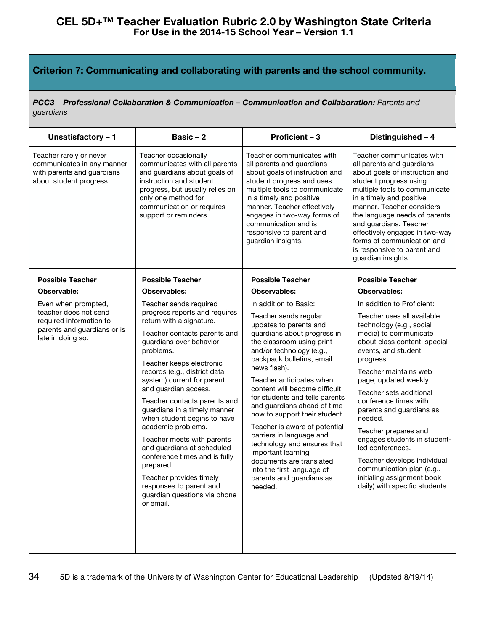# **Criterion 7: Communicating and collaborating with parents and the school community.**

*PCC3 Professional Collaboration & Communication – Communication and Collaboration: Parents and guardians*

| Unsatisfactory - 1                                                                                                          | Basic $-2$                                                                                                                                                                                                                                                                                                                                                                                                                                                                                                                                                                                                      | Proficient - 3                                                                                                                                                                                                                                                                                                                                                                                                                                                                                                                                                                                  | Distinguished - 4                                                                                                                                                                                                                                                                                                                                                                                                                                                                                                                      |
|-----------------------------------------------------------------------------------------------------------------------------|-----------------------------------------------------------------------------------------------------------------------------------------------------------------------------------------------------------------------------------------------------------------------------------------------------------------------------------------------------------------------------------------------------------------------------------------------------------------------------------------------------------------------------------------------------------------------------------------------------------------|-------------------------------------------------------------------------------------------------------------------------------------------------------------------------------------------------------------------------------------------------------------------------------------------------------------------------------------------------------------------------------------------------------------------------------------------------------------------------------------------------------------------------------------------------------------------------------------------------|----------------------------------------------------------------------------------------------------------------------------------------------------------------------------------------------------------------------------------------------------------------------------------------------------------------------------------------------------------------------------------------------------------------------------------------------------------------------------------------------------------------------------------------|
| Teacher rarely or never<br>communicates in any manner<br>with parents and guardians<br>about student progress.              | Teacher occasionally<br>communicates with all parents<br>and guardians about goals of<br>instruction and student<br>progress, but usually relies on<br>only one method for<br>communication or requires<br>support or reminders.                                                                                                                                                                                                                                                                                                                                                                                | Teacher communicates with<br>all parents and guardians<br>about goals of instruction and<br>student progress and uses<br>multiple tools to communicate<br>in a timely and positive<br>manner. Teacher effectively<br>engages in two-way forms of<br>communication and is<br>responsive to parent and<br>guardian insights.                                                                                                                                                                                                                                                                      | Teacher communicates with<br>all parents and guardians<br>about goals of instruction and<br>student progress using<br>multiple tools to communicate<br>in a timely and positive<br>manner. Teacher considers<br>the language needs of parents<br>and guardians. Teacher<br>effectively engages in two-way<br>forms of communication and<br>is responsive to parent and<br>guardian insights.                                                                                                                                           |
| <b>Possible Teacher</b>                                                                                                     | <b>Possible Teacher</b>                                                                                                                                                                                                                                                                                                                                                                                                                                                                                                                                                                                         | <b>Possible Teacher</b>                                                                                                                                                                                                                                                                                                                                                                                                                                                                                                                                                                         | <b>Possible Teacher</b>                                                                                                                                                                                                                                                                                                                                                                                                                                                                                                                |
| Observable:                                                                                                                 | <b>Observables:</b>                                                                                                                                                                                                                                                                                                                                                                                                                                                                                                                                                                                             | <b>Observables:</b>                                                                                                                                                                                                                                                                                                                                                                                                                                                                                                                                                                             | <b>Observables:</b>                                                                                                                                                                                                                                                                                                                                                                                                                                                                                                                    |
| Even when prompted,<br>teacher does not send<br>required information to<br>parents and guardians or is<br>late in doing so. | Teacher sends required<br>progress reports and requires<br>return with a signature.<br>Teacher contacts parents and<br>guardians over behavior<br>problems.<br>Teacher keeps electronic<br>records (e.g., district data<br>system) current for parent<br>and guardian access.<br>Teacher contacts parents and<br>guardians in a timely manner<br>when student begins to have<br>academic problems.<br>Teacher meets with parents<br>and guardians at scheduled<br>conference times and is fully<br>prepared.<br>Teacher provides timely<br>responses to parent and<br>guardian questions via phone<br>or email. | In addition to Basic:<br>Teacher sends regular<br>updates to parents and<br>guardians about progress in<br>the classroom using print<br>and/or technology (e.g.,<br>backpack bulletins, email<br>news flash).<br>Teacher anticipates when<br>content will become difficult<br>for students and tells parents<br>and guardians ahead of time<br>how to support their student.<br>Teacher is aware of potential<br>barriers in language and<br>technology and ensures that<br>important learning<br>documents are translated<br>into the first language of<br>parents and guardians as<br>needed. | In addition to Proficient:<br>Teacher uses all available<br>technology (e.g., social<br>media) to communicate<br>about class content, special<br>events, and student<br>progress.<br>Teacher maintains web<br>page, updated weekly.<br>Teacher sets additional<br>conference times with<br>parents and guardians as<br>needed.<br>Teacher prepares and<br>engages students in student-<br>led conferences.<br>Teacher develops individual<br>communication plan (e.g.,<br>initialing assignment book<br>daily) with specific students. |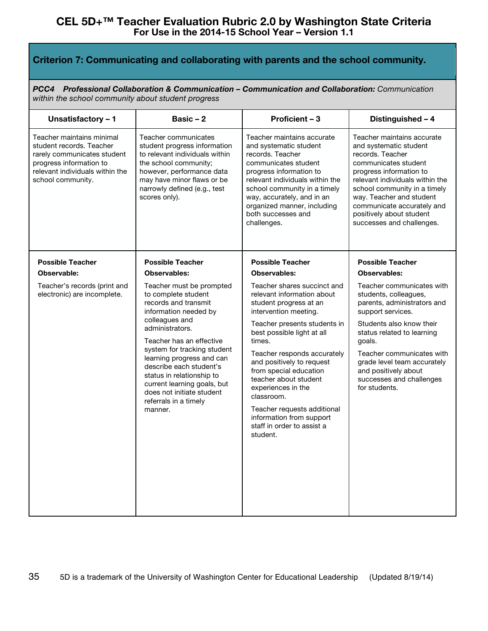# **Criterion 7: Communicating and collaborating with parents and the school community.**

*PCC4 Professional Collaboration & Communication – Communication and Collaboration: Communication within the school community about student progress*

| Unsatisfactory - 1                                                                                                                                                      | Basic $-2$                                                                                                                                                                                                                                                                                                                                                                            | Proficient - 3                                                                                                                                                                                                                                                                                                                                                                                                                               | Distinguished - 4                                                                                                                                                                                                                                                                                                 |
|-------------------------------------------------------------------------------------------------------------------------------------------------------------------------|---------------------------------------------------------------------------------------------------------------------------------------------------------------------------------------------------------------------------------------------------------------------------------------------------------------------------------------------------------------------------------------|----------------------------------------------------------------------------------------------------------------------------------------------------------------------------------------------------------------------------------------------------------------------------------------------------------------------------------------------------------------------------------------------------------------------------------------------|-------------------------------------------------------------------------------------------------------------------------------------------------------------------------------------------------------------------------------------------------------------------------------------------------------------------|
| Teacher maintains minimal<br>student records. Teacher<br>rarely communicates student<br>progress information to<br>relevant individuals within the<br>school community. | Teacher communicates<br>student progress information<br>to relevant individuals within<br>the school community;<br>however, performance data<br>may have minor flaws or be<br>narrowly defined (e.g., test<br>scores only).                                                                                                                                                           | Teacher maintains accurate<br>and systematic student<br>records. Teacher<br>communicates student<br>progress information to<br>relevant individuals within the<br>school community in a timely<br>way, accurately, and in an<br>organized manner, including<br>both successes and<br>challenges.                                                                                                                                             | Teacher maintains accurate<br>and systematic student<br>records. Teacher<br>communicates student<br>progress information to<br>relevant individuals within the<br>school community in a timely<br>way. Teacher and student<br>communicate accurately and<br>positively about student<br>successes and challenges. |
| <b>Possible Teacher</b>                                                                                                                                                 | <b>Possible Teacher</b>                                                                                                                                                                                                                                                                                                                                                               | <b>Possible Teacher</b>                                                                                                                                                                                                                                                                                                                                                                                                                      | <b>Possible Teacher</b>                                                                                                                                                                                                                                                                                           |
| Observable:                                                                                                                                                             | Observables:                                                                                                                                                                                                                                                                                                                                                                          | Observables:                                                                                                                                                                                                                                                                                                                                                                                                                                 | Observables:                                                                                                                                                                                                                                                                                                      |
| Teacher's records (print and<br>electronic) are incomplete.                                                                                                             | Teacher must be prompted<br>to complete student<br>records and transmit<br>information needed by<br>colleagues and<br>administrators.<br>Teacher has an effective<br>system for tracking student<br>learning progress and can<br>describe each student's<br>status in relationship to<br>current learning goals, but<br>does not initiate student<br>referrals in a timely<br>manner. | Teacher shares succinct and<br>relevant information about<br>student progress at an<br>intervention meeting.<br>Teacher presents students in<br>best possible light at all<br>times.<br>Teacher responds accurately<br>and positively to request<br>from special education<br>teacher about student<br>experiences in the<br>classroom.<br>Teacher requests additional<br>information from support<br>staff in order to assist a<br>student. | Teacher communicates with<br>students, colleagues,<br>parents, administrators and<br>support services.<br>Students also know their<br>status related to learning<br>goals.<br>Teacher communicates with<br>grade level team accurately<br>and positively about<br>successes and challenges<br>for students.       |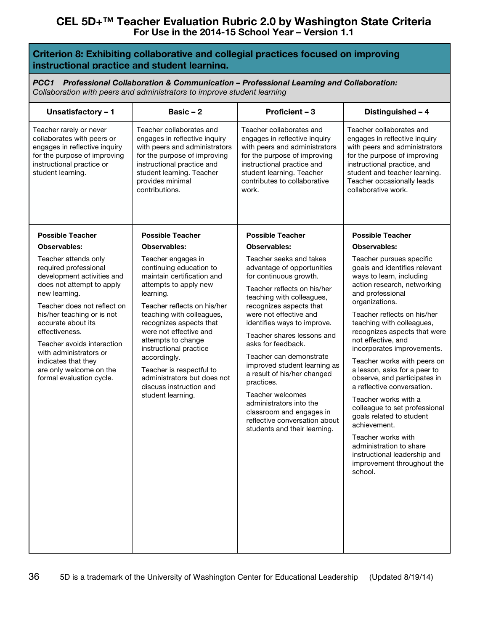## **Criterion 8: Exhibiting collaborative and collegial practices focused on improving instructional practice and student learning.**

*PCC1 Professional Collaboration & Communication – Professional Learning and Collaboration: Collaboration with peers and administrators to improve student learning*

| Unsatisfactory - 1                                                                                                                                                                                                                                                                                                                                                                                                     | Basic-2                                                                                                                                                                                                                                                                                                                                                                                                                                                         | Proficient - 3                                                                                                                                                                                                                                                                                                                                                                                                                                                                                                                                                                            | Distinguished - 4                                                                                                                                                                                                                                                                                                                                                                                                                                                                                                                                                                                                                                                                                                        |
|------------------------------------------------------------------------------------------------------------------------------------------------------------------------------------------------------------------------------------------------------------------------------------------------------------------------------------------------------------------------------------------------------------------------|-----------------------------------------------------------------------------------------------------------------------------------------------------------------------------------------------------------------------------------------------------------------------------------------------------------------------------------------------------------------------------------------------------------------------------------------------------------------|-------------------------------------------------------------------------------------------------------------------------------------------------------------------------------------------------------------------------------------------------------------------------------------------------------------------------------------------------------------------------------------------------------------------------------------------------------------------------------------------------------------------------------------------------------------------------------------------|--------------------------------------------------------------------------------------------------------------------------------------------------------------------------------------------------------------------------------------------------------------------------------------------------------------------------------------------------------------------------------------------------------------------------------------------------------------------------------------------------------------------------------------------------------------------------------------------------------------------------------------------------------------------------------------------------------------------------|
| Teacher rarely or never<br>collaborates with peers or<br>engages in reflective inquiry<br>for the purpose of improving<br>instructional practice or<br>student learning.                                                                                                                                                                                                                                               | Teacher collaborates and<br>engages in reflective inquiry<br>with peers and administrators<br>for the purpose of improving<br>instructional practice and<br>student learning. Teacher<br>provides minimal<br>contributions.                                                                                                                                                                                                                                     | Teacher collaborates and<br>engages in reflective inquiry<br>with peers and administrators<br>for the purpose of improving<br>instructional practice and<br>student learning. Teacher<br>contributes to collaborative<br>work.                                                                                                                                                                                                                                                                                                                                                            | Teacher collaborates and<br>engages in reflective inquiry<br>with peers and administrators<br>for the purpose of improving<br>instructional practice, and<br>student and teacher learning.<br>Teacher occasionally leads<br>collaborative work.                                                                                                                                                                                                                                                                                                                                                                                                                                                                          |
| <b>Possible Teacher</b><br><b>Observables:</b><br>Teacher attends only<br>required professional<br>development activities and<br>does not attempt to apply<br>new learning.<br>Teacher does not reflect on<br>his/her teaching or is not<br>accurate about its<br>effectiveness.<br>Teacher avoids interaction<br>with administrators or<br>indicates that they<br>are only welcome on the<br>formal evaluation cycle. | <b>Possible Teacher</b><br><b>Observables:</b><br>Teacher engages in<br>continuing education to<br>maintain certification and<br>attempts to apply new<br>learning.<br>Teacher reflects on his/her<br>teaching with colleagues,<br>recognizes aspects that<br>were not effective and<br>attempts to change<br>instructional practice<br>accordingly.<br>Teacher is respectful to<br>administrators but does not<br>discuss instruction and<br>student learning. | <b>Possible Teacher</b><br><b>Observables:</b><br>Teacher seeks and takes<br>advantage of opportunities<br>for continuous growth.<br>Teacher reflects on his/her<br>teaching with colleagues,<br>recognizes aspects that<br>were not effective and<br>identifies ways to improve.<br>Teacher shares lessons and<br>asks for feedback.<br>Teacher can demonstrate<br>improved student learning as<br>a result of his/her changed<br>practices.<br>Teacher welcomes<br>administrators into the<br>classroom and engages in<br>reflective conversation about<br>students and their learning. | <b>Possible Teacher</b><br><b>Observables:</b><br>Teacher pursues specific<br>goals and identifies relevant<br>ways to learn, including<br>action research, networking<br>and professional<br>organizations.<br>Teacher reflects on his/her<br>teaching with colleagues,<br>recognizes aspects that were<br>not effective, and<br>incorporates improvements.<br>Teacher works with peers on<br>a lesson, asks for a peer to<br>observe, and participates in<br>a reflective conversation.<br>Teacher works with a<br>colleague to set professional<br>goals related to student<br>achievement.<br>Teacher works with<br>administration to share<br>instructional leadership and<br>improvement throughout the<br>school. |
|                                                                                                                                                                                                                                                                                                                                                                                                                        |                                                                                                                                                                                                                                                                                                                                                                                                                                                                 |                                                                                                                                                                                                                                                                                                                                                                                                                                                                                                                                                                                           |                                                                                                                                                                                                                                                                                                                                                                                                                                                                                                                                                                                                                                                                                                                          |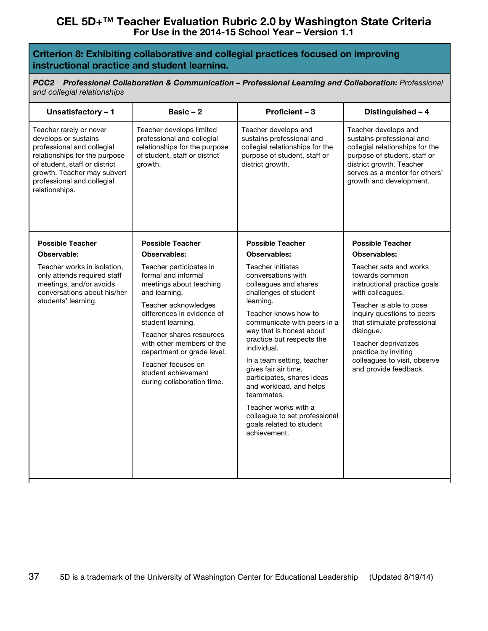## **Criterion 8: Exhibiting collaborative and collegial practices focused on improving instructional practice and student learning.**

*PCC2 Professional Collaboration & Communication – Professional Learning and Collaboration: Professional and collegial relationships*

| Unsatisfactory - 1                                                                                                                                                                                                             | Basic $-2$                                                                                                                                                                                                                                                                                                                              | Proficient - 3                                                                                                                                                                                                                                                                                                                                                                                                                                                                 | Distinguished - 4                                                                                                                                                                                                                                                                                          |
|--------------------------------------------------------------------------------------------------------------------------------------------------------------------------------------------------------------------------------|-----------------------------------------------------------------------------------------------------------------------------------------------------------------------------------------------------------------------------------------------------------------------------------------------------------------------------------------|--------------------------------------------------------------------------------------------------------------------------------------------------------------------------------------------------------------------------------------------------------------------------------------------------------------------------------------------------------------------------------------------------------------------------------------------------------------------------------|------------------------------------------------------------------------------------------------------------------------------------------------------------------------------------------------------------------------------------------------------------------------------------------------------------|
| Teacher rarely or never<br>develops or sustains<br>professional and collegial<br>relationships for the purpose<br>of student, staff or district<br>growth. Teacher may subvert<br>professional and collegial<br>relationships. | Teacher develops limited<br>professional and collegial<br>relationships for the purpose<br>of student, staff or district<br>arowth.                                                                                                                                                                                                     | Teacher develops and<br>sustains professional and<br>collegial relationships for the<br>purpose of student, staff or<br>district growth.                                                                                                                                                                                                                                                                                                                                       | Teacher develops and<br>sustains professional and<br>collegial relationships for the<br>purpose of student, staff or<br>district growth. Teacher<br>serves as a mentor for others'<br>growth and development.                                                                                              |
| <b>Possible Teacher</b>                                                                                                                                                                                                        | <b>Possible Teacher</b>                                                                                                                                                                                                                                                                                                                 | <b>Possible Teacher</b>                                                                                                                                                                                                                                                                                                                                                                                                                                                        | <b>Possible Teacher</b>                                                                                                                                                                                                                                                                                    |
| Observable:                                                                                                                                                                                                                    | <b>Observables:</b>                                                                                                                                                                                                                                                                                                                     | <b>Observables:</b>                                                                                                                                                                                                                                                                                                                                                                                                                                                            | <b>Observables:</b>                                                                                                                                                                                                                                                                                        |
| Teacher works in isolation,<br>only attends required staff<br>meetings, and/or avoids<br>conversations about his/her<br>students' learning.                                                                                    | Teacher participates in<br>formal and informal<br>meetings about teaching<br>and learning.<br>Teacher acknowledges<br>differences in evidence of<br>student learning.<br>Teacher shares resources<br>with other members of the<br>department or grade level.<br>Teacher focuses on<br>student achievement<br>during collaboration time. | <b>Teacher initiates</b><br>conversations with<br>colleagues and shares<br>challenges of student<br>learning.<br>Teacher knows how to<br>communicate with peers in a<br>way that is honest about<br>practice but respects the<br>individual.<br>In a team setting, teacher<br>gives fair air time,<br>participates, shares ideas<br>and workload, and helps<br>teammates.<br>Teacher works with a<br>colleague to set professional<br>goals related to student<br>achievement. | Teacher sets and works<br>towards common<br>instructional practice goals<br>with colleagues.<br>Teacher is able to pose<br>inquiry questions to peers<br>that stimulate professional<br>dialogue.<br>Teacher deprivatizes<br>practice by inviting<br>colleagues to visit, observe<br>and provide feedback. |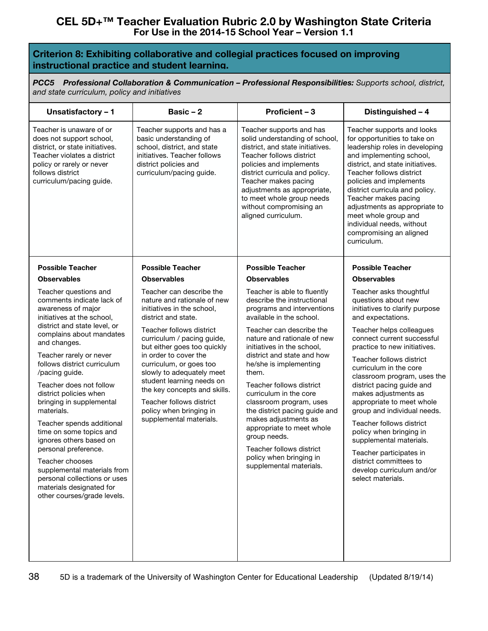## **Criterion 8: Exhibiting collaborative and collegial practices focused on improving instructional practice and student learning.**

*PCC5 Professional Collaboration & Communication – Professional Responsibilities: Supports school, district, and state curriculum, policy and initiatives*

| Unsatisfactory - 1                                                                                                                                                                                                                                                                                                                                                                                                                                                                                                                                                                                                    | Basic $-2$                                                                                                                                                                                                                                                                                                                                                                                                                            | Proficient - 3                                                                                                                                                                                                                                                                                                                                                                                                                                                                                                                                         | Distinguished - 4                                                                                                                                                                                                                                                                                                                                                                                                                                                                                                                                                                              |
|-----------------------------------------------------------------------------------------------------------------------------------------------------------------------------------------------------------------------------------------------------------------------------------------------------------------------------------------------------------------------------------------------------------------------------------------------------------------------------------------------------------------------------------------------------------------------------------------------------------------------|---------------------------------------------------------------------------------------------------------------------------------------------------------------------------------------------------------------------------------------------------------------------------------------------------------------------------------------------------------------------------------------------------------------------------------------|--------------------------------------------------------------------------------------------------------------------------------------------------------------------------------------------------------------------------------------------------------------------------------------------------------------------------------------------------------------------------------------------------------------------------------------------------------------------------------------------------------------------------------------------------------|------------------------------------------------------------------------------------------------------------------------------------------------------------------------------------------------------------------------------------------------------------------------------------------------------------------------------------------------------------------------------------------------------------------------------------------------------------------------------------------------------------------------------------------------------------------------------------------------|
| Teacher is unaware of or<br>does not support school,<br>district, or state initiatives.<br>Teacher violates a district<br>policy or rarely or never<br>follows district<br>curriculum/pacing guide.                                                                                                                                                                                                                                                                                                                                                                                                                   | Teacher supports and has a<br>basic understanding of<br>school, district, and state<br>initiatives. Teacher follows<br>district policies and<br>curriculum/pacing guide.                                                                                                                                                                                                                                                              | Teacher supports and has<br>solid understanding of school,<br>district, and state initiatives.<br>Teacher follows district<br>policies and implements<br>district curricula and policy.<br>Teacher makes pacing<br>adjustments as appropriate,<br>to meet whole group needs<br>without compromising an<br>aligned curriculum.                                                                                                                                                                                                                          | Teacher supports and looks<br>for opportunities to take on<br>leadership roles in developing<br>and implementing school,<br>district, and state initiatives.<br>Teacher follows district<br>policies and implements<br>district curricula and policy.<br>Teacher makes pacing<br>adjustments as appropriate to<br>meet whole group and<br>individual needs, without<br>compromising an aligned<br>curriculum.                                                                                                                                                                                  |
| <b>Possible Teacher</b>                                                                                                                                                                                                                                                                                                                                                                                                                                                                                                                                                                                               | <b>Possible Teacher</b>                                                                                                                                                                                                                                                                                                                                                                                                               | <b>Possible Teacher</b>                                                                                                                                                                                                                                                                                                                                                                                                                                                                                                                                | <b>Possible Teacher</b>                                                                                                                                                                                                                                                                                                                                                                                                                                                                                                                                                                        |
| <b>Observables</b>                                                                                                                                                                                                                                                                                                                                                                                                                                                                                                                                                                                                    | <b>Observables</b>                                                                                                                                                                                                                                                                                                                                                                                                                    | <b>Observables</b>                                                                                                                                                                                                                                                                                                                                                                                                                                                                                                                                     | <b>Observables</b>                                                                                                                                                                                                                                                                                                                                                                                                                                                                                                                                                                             |
| Teacher questions and<br>comments indicate lack of<br>awareness of major<br>initiatives at the school,<br>district and state level, or<br>complains about mandates<br>and changes.<br>Teacher rarely or never<br>follows district curriculum<br>/pacing guide.<br>Teacher does not follow<br>district policies when<br>bringing in supplemental<br>materials.<br>Teacher spends additional<br>time on some topics and<br>ignores others based on<br>personal preference.<br>Teacher chooses<br>supplemental materials from<br>personal collections or uses<br>materials designated for<br>other courses/grade levels. | Teacher can describe the<br>nature and rationale of new<br>initiatives in the school.<br>district and state.<br>Teacher follows district<br>curriculum / pacing guide,<br>but either goes too quickly<br>in order to cover the<br>curriculum, or goes too<br>slowly to adequately meet<br>student learning needs on<br>the key concepts and skills.<br>Teacher follows district<br>policy when bringing in<br>supplemental materials. | Teacher is able to fluently<br>describe the instructional<br>programs and interventions<br>available in the school.<br>Teacher can describe the<br>nature and rationale of new<br>initiatives in the school,<br>district and state and how<br>he/she is implementing<br>them.<br>Teacher follows district<br>curriculum in the core<br>classroom program, uses<br>the district pacing guide and<br>makes adjustments as<br>appropriate to meet whole<br>group needs.<br>Teacher follows district<br>policy when bringing in<br>supplemental materials. | Teacher asks thoughtful<br>questions about new<br>initiatives to clarify purpose<br>and expectations.<br>Teacher helps colleagues<br>connect current successful<br>practice to new initiatives.<br>Teacher follows district<br>curriculum in the core<br>classroom program, uses the<br>district pacing guide and<br>makes adjustments as<br>appropriate to meet whole<br>group and individual needs.<br>Teacher follows district<br>policy when bringing in<br>supplemental materials.<br>Teacher participates in<br>district committees to<br>develop curriculum and/or<br>select materials. |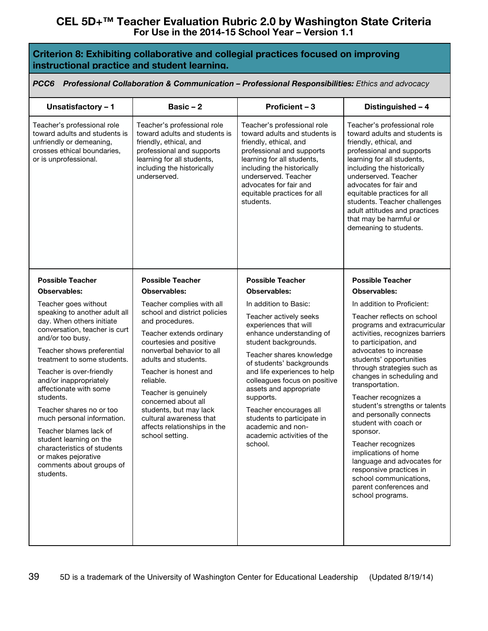| Criterion 8: Exhibiting collaborative and collegial practices focused on improving |  |
|------------------------------------------------------------------------------------|--|
| instructional practice and student learning.                                       |  |

*PCC6 Professional Collaboration & Communication – Professional Responsibilities: Ethics and advocacy*

| Unsatisfactory - 1                                                                                                                                                                                                                                                                                                                                                                                                                                                                                                                     | Basic $-2$                                                                                                                                                                                                                                                                                                                                                                                                   | Proficient - 3                                                                                                                                                                                                                                                                                                                                                                                                                    | Distinguished - 4                                                                                                                                                                                                                                                                                                                                                                                                                                                                                                                                                                                                      |
|----------------------------------------------------------------------------------------------------------------------------------------------------------------------------------------------------------------------------------------------------------------------------------------------------------------------------------------------------------------------------------------------------------------------------------------------------------------------------------------------------------------------------------------|--------------------------------------------------------------------------------------------------------------------------------------------------------------------------------------------------------------------------------------------------------------------------------------------------------------------------------------------------------------------------------------------------------------|-----------------------------------------------------------------------------------------------------------------------------------------------------------------------------------------------------------------------------------------------------------------------------------------------------------------------------------------------------------------------------------------------------------------------------------|------------------------------------------------------------------------------------------------------------------------------------------------------------------------------------------------------------------------------------------------------------------------------------------------------------------------------------------------------------------------------------------------------------------------------------------------------------------------------------------------------------------------------------------------------------------------------------------------------------------------|
| Teacher's professional role<br>toward adults and students is<br>unfriendly or demeaning,<br>crosses ethical boundaries,<br>or is unprofessional.                                                                                                                                                                                                                                                                                                                                                                                       | Teacher's professional role<br>toward adults and students is<br>friendly, ethical, and<br>professional and supports<br>learning for all students,<br>including the historically<br>underserved.                                                                                                                                                                                                              | Teacher's professional role<br>toward adults and students is<br>friendly, ethical, and<br>professional and supports<br>learning for all students,<br>including the historically<br>underserved. Teacher<br>advocates for fair and<br>equitable practices for all<br>students.                                                                                                                                                     | Teacher's professional role<br>toward adults and students is<br>friendly, ethical, and<br>professional and supports<br>learning for all students,<br>including the historically<br>underserved. Teacher<br>advocates for fair and<br>equitable practices for all<br>students. Teacher challenges<br>adult attitudes and practices<br>that may be harmful or<br>demeaning to students.                                                                                                                                                                                                                                  |
| <b>Possible Teacher</b>                                                                                                                                                                                                                                                                                                                                                                                                                                                                                                                | <b>Possible Teacher</b>                                                                                                                                                                                                                                                                                                                                                                                      | <b>Possible Teacher</b>                                                                                                                                                                                                                                                                                                                                                                                                           | <b>Possible Teacher</b>                                                                                                                                                                                                                                                                                                                                                                                                                                                                                                                                                                                                |
| <b>Observables:</b><br>Teacher goes without<br>speaking to another adult all<br>day. When others initiate<br>conversation, teacher is curt<br>and/or too busy.<br>Teacher shows preferential<br>treatment to some students.<br>Teacher is over-friendly<br>and/or inappropriately<br>affectionate with some<br>students.<br>Teacher shares no or too<br>much personal information.<br>Teacher blames lack of<br>student learning on the<br>characteristics of students<br>or makes pejorative<br>comments about groups of<br>students. | <b>Observables:</b><br>Teacher complies with all<br>school and district policies<br>and procedures.<br>Teacher extends ordinary<br>courtesies and positive<br>nonverbal behavior to all<br>adults and students.<br>Teacher is honest and<br>reliable.<br>Teacher is genuinely<br>concerned about all<br>students, but may lack<br>cultural awareness that<br>affects relationships in the<br>school setting. | Observables:<br>In addition to Basic:<br>Teacher actively seeks<br>experiences that will<br>enhance understanding of<br>student backgrounds.<br>Teacher shares knowledge<br>of students' backgrounds<br>and life experiences to help<br>colleagues focus on positive<br>assets and appropriate<br>supports.<br>Teacher encourages all<br>students to participate in<br>academic and non-<br>academic activities of the<br>school. | <b>Observables:</b><br>In addition to Proficient:<br>Teacher reflects on school<br>programs and extracurricular<br>activities, recognizes barriers<br>to participation, and<br>advocates to increase<br>students' opportunities<br>through strategies such as<br>changes in scheduling and<br>transportation.<br>Teacher recognizes a<br>student's strengths or talents<br>and personally connects<br>student with coach or<br>sponsor.<br>Teacher recognizes<br>implications of home<br>language and advocates for<br>responsive practices in<br>school communications,<br>parent conferences and<br>school programs. |